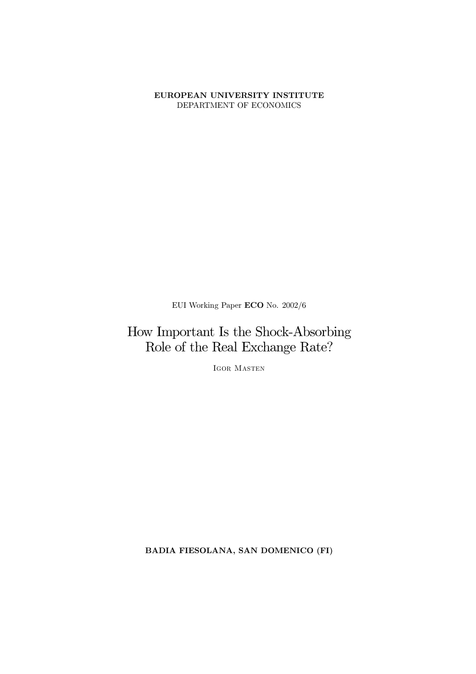#### EUROPEAN UNIVERSITY INSTITUTE DEPARTMENT OF ECONOMICS

EUI Working Paper  $ECO$  No.  $2002/6$ 

### How Important Is the Shock-Absorbing Role of the Real Exchange Rate?

IGOR MASTEN

BADIA FIESOLANA, SAN DOMENICO (FI)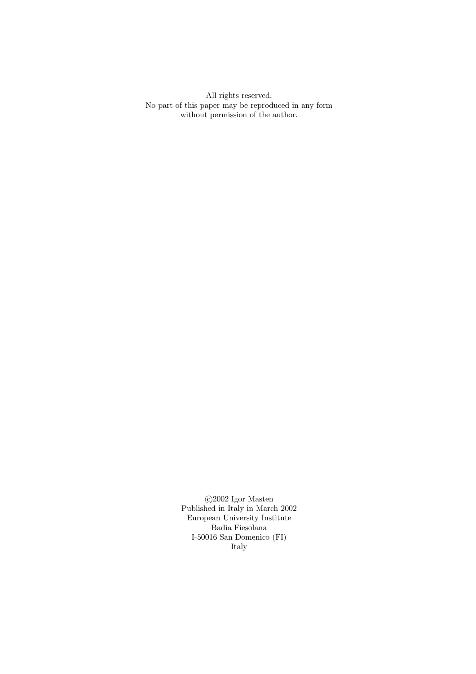All rights reserved. No part of this paper may be reproduced in any form without permission of the author.  $\;$ 

> $\bigodot\!2002$ Igor Masten Published in Italy in March  $2002\,$ European University Institute Badia Fiesolana I-50016 San Domenico  $(\mathrm{FI})$ Italy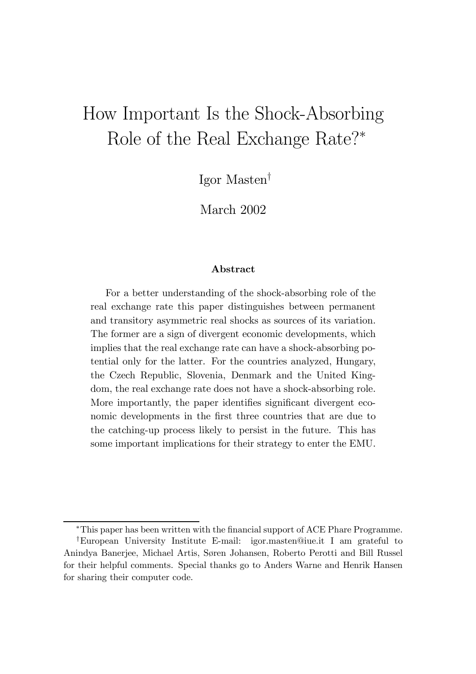# How Important Is the Shock-Absorbing Role of the Real Exchange Rate?\*

Igor Masten<sup>†</sup>

March 2002

#### Abstract

For a better understanding of the shock-absorbing role of the real exchange rate this paper distinguishes between permanent and transitory asymmetric real shocks as sources of its variation. The former are a sign of divergent economic developments, which implies that the real exchange rate can have a shock-absorbing potential only for the latter. For the countries analyzed, Hungary, the Czech Republic, Slovenia, Denmark and the United Kingdom, the real exchange rate does not have a shock-absorbing role. More importantly, the paper identifies significant divergent economic developments in the first three countries that are due to the catching-up process likely to persist in the future. This has some important implications for their strategy to enter the EMU.

<sup>&</sup>lt;sup>\*</sup>This paper has been written with the financial support of ACE Phare Programme.

<sup>y</sup>European University Institute E-mail: igor.masten@iue.it I am grateful to Anindya Banerjee, Michael Artis, Søren Johansen, Roberto Perotti and Bill Russel for their helpful comments. Special thanks go to Anders Warne and Henrik Hansen for sharing their computer code.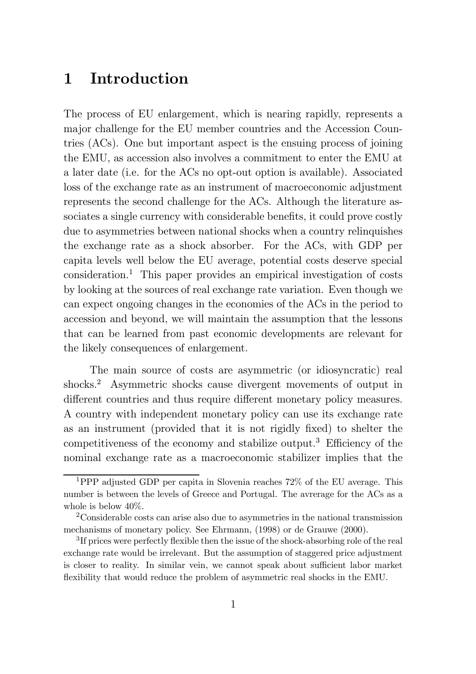### 1 Introduction

The process of EU enlargement, which is nearing rapidly, represents a major challenge for the EU member countries and the Accession Countries (ACs). One but important aspect is the ensuing process of joining the EMU, as accession also involves a commitment to enter the EMU at a later date (i.e. for the ACs no opt-out option is available). Associated loss of the exchange rate as an instrument of macroeconomic adjustment represents the second challenge for the ACs. Although the literature associates a single currency with considerable benefits, it could prove costly due to asymmetries between national shocks when a country relinquishes the exchange rate as a shock absorber. For the ACs, with GDP per capita levels well below the EU average, potential costs deserve special consideration. <sup>1</sup> This paper provides an empirical investigation of costs by looking at the sources of real exchange rate variation. Even though we can expect ongoing changes in the economies of the ACs in the period to accession and beyond, we will maintain the assumption that the lessons that can be learned from past economic developments are relevant for the likely consequences of enlargement.

The main source of costs are asymmetric (or idiosyncratic) real shocks. <sup>2</sup> Asymmetric shocks cause divergent movements of output in different countries and thus require different monetary policy measures. A country with independent monetary policy can use its exchange rate as an instrument (provided that it is not rigidly fixed) to shelter the competitiveness of the economy and stabilize output.<sup>3</sup> Efficiency of the nominal exchange rate as a macroeconomic stabilizer implies that the

<sup>1</sup>PPP adjusted GDP per capita in Slovenia reaches 72% of the EU average. This number is between the levels of Greece and Portugal. The avrerage for the ACs as a whole is below 40%.

<sup>2</sup>Considerable costs can arise also due to asymmetries in the national transmission mechanisms of monetary policy. See Ehrmann, (1998) or de Grauwe (2000).

 ${}^{3}$ If prices were perfectly flexible then the issue of the shock-absorbing role of the real exchange rate would be irrelevant. But the assumption of staggered price adjustment is closer to reality. In similar vein, we cannot speak about sufficient labor market flexibility that would reduce the problem of asymmetric real shocks in the EMU.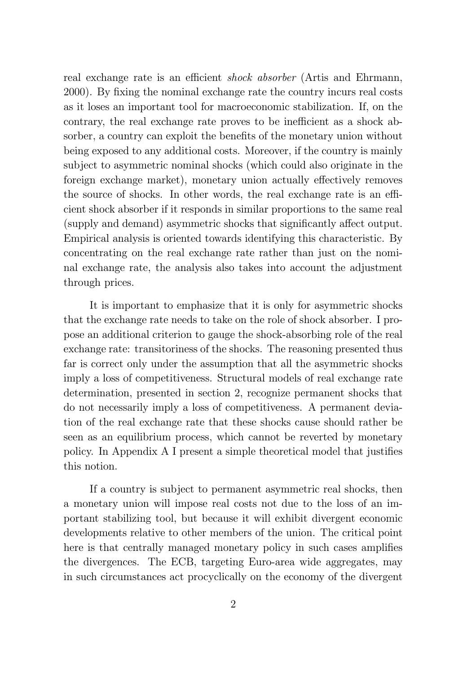real exchange rate is an efficient *shock absorber* (Artis and Ehrmann, 2000). By fixing the nominal exchange rate the country incurs real costs as it loses an important tool for macroeconomic stabilization. If, on the contrary, the real exchange rate proves to be inefficient as a shock absorber, a country can exploit the benefits of the monetary union without being exposed to any additional costs. Moreover, if the country is mainly subject to asymmetric nominal shocks (which could also originate in the foreign exchange market), monetary union actually effectively removes the source of shocks. In other words, the real exchange rate is an efficient shock absorber if it responds in similar proportions to the same real (supply and demand) asymmetric shocks that significantly affect output. Empirical analysis is oriented towards identifying this characteristic. By concentrating on the real exchange rate rather than just on the nominal exchange rate, the analysis also takes into account the adjustment through prices.

It is important to emphasize that it is only for asymmetric shocks that the exchange rate needs to take on the role of shock absorber. I propose an additional criterion to gauge the shock-absorbing role of the real exchange rate: transitoriness of the shocks. The reasoning presented thus far is correct only under the assumption that all the asymmetric shocks imply a loss of competitiveness. Structural models of real exchange rate determination, presented in section 2, recognize permanent shocks that do not necessarily imply a loss of competitiveness. A permanent deviation of the real exchange rate that these shocks cause should rather be seen as an equilibrium process, which cannot be reverted by monetary policy. In Appendix A I present a simple theoretical model that justifies this notion.

If a country is subject to permanent asymmetric real shocks, then a monetary union will impose real costs not due to the loss of an important stabilizing tool, but because it will exhibit divergent economic developments relative to other members of the union. The critical point here is that centrally managed monetary policy in such cases amplifies the divergences. The ECB, targeting Euro-area wide aggregates, may in such circumstances act procyclically on the economy of the divergent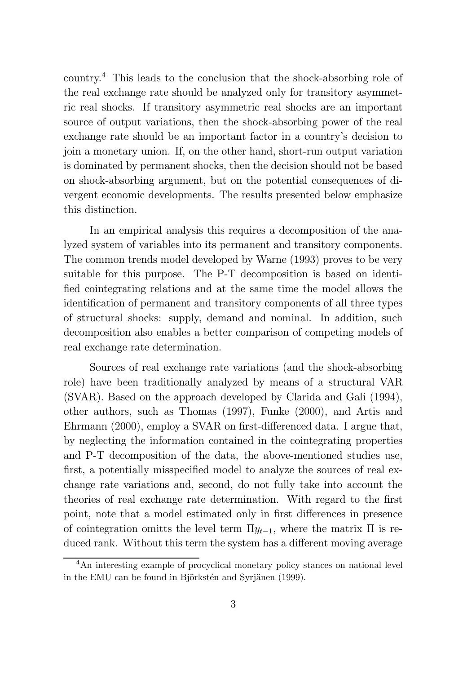country. <sup>4</sup> This leads to the conclusion that the shock-absorbing role of the real exchange rate should be analyzed only for transitory asymmetric real shocks. If transitory asymmetric real shocks are an important source of output variations, then the shock-absorbing power of the real exchange rate should be an important factor in a country's decision to join a monetary union. If, on the other hand, short-run output variation is dominated by permanent shocks, then the decision should not be based on shock-absorbing argument, but on the potential consequences of divergent economic developments. The results presented below emphasize this distinction.

In an empirical analysis this requires a decomposition of the analyzed system of variables into its permanent and transitory components. The common trends model developed by Warne (1993) proves to be very suitable for this purpose. The P-T decomposition is based on identi fied cointegrating relations and at the same time the model allows the identification of permanent and transitory components of all three types of structural shocks: supply, demand and nominal. In addition, such decomposition also enables a better comparison of competing models of real exchange rate determination.

Sources of real exchange rate variations (and the shock-absorbing role) have been traditionally analyzed by means of a structural VAR (SVAR). Based on the approach developed by Clarida and Gali (1994), other authors, such as Thomas (1997), Funke (2000), and Artis and Ehrmann  $(2000)$ , employ a SVAR on first-differenced data. I argue that, by neglecting the information contained in the cointegrating properties and P-T decomposition of the data, the above-mentioned studies use, first, a potentially misspecified model to analyze the sources of real exchange rate variations and, second, do not fully take into account the theories of real exchange rate determination. With regard to the first point, note that a model estimated only in first differences in presence of cointegration omitts the level term  $\Pi y_{t-1}$ , where the matrix  $\Pi$  is reduced rank. Without this term the system has a different moving average

<sup>&</sup>lt;sup>4</sup>An interesting example of procyclical monetary policy stances on national level in the EMU can be found in Björkstén and Syrjänen (1999).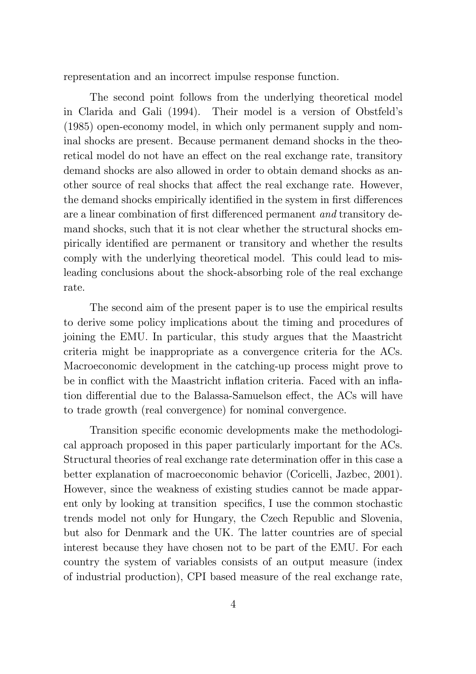representation and an incorrect impulse response function.

The second point follows from the underlying theoretical model in Clarida and Gali (1994). Their model is a version of Obstfeld's (1985) open-economy model, in which only permanent supply and nominal shocks are present. Because permanent demand shocks in the theoretical model do not have an effect on the real exchange rate, transitory demand shocks are also allowed in order to obtain demand shocks as another source of real shocks that affect the real exchange rate. However, the demand shocks empirically identified in the system in first differences are a linear combination of first differenced permanent *and* transitory demand shocks, such that it is not clear whether the structural shocks empirically identified are permanent or transitory and whether the results comply with the underlying theoretical model. This could lead to misleading conclusions about the shock-absorbing role of the real exchange rate.

The second aim of the present paper is to use the empirical results to derive some policy implications about the timing and procedures of joining the EMU. In particular, this study argues that the Maastricht criteria might be inappropriate as a convergence criteria for the ACs. Macroeconomic development in the catching-up process might prove to be in conflict with the Maastricht inflation criteria. Faced with an inflation differential due to the Balassa-Samuelson effect, the ACs will have to trade growth (real convergence) for nominal convergence.

Transition specific economic developments make the methodological approach proposed in this paper particularly important for the ACs. Structural theories of real exchange rate determination offer in this case a better explanation of macroeconomic behavior (Coricelli, Jazbec, 2001). However, since the weakness of existing studies cannot be made apparent only by looking at transition specifics, I use the common stochastic trends model not only for Hungary, the Czech Republic and Slovenia, but also for Denmark and the UK. The latter countries are of special interest because they have chosen not to be part of the EMU. For each country the system of variables consists of an output measure (index of industrial production), CPI based measure of the real exchange rate,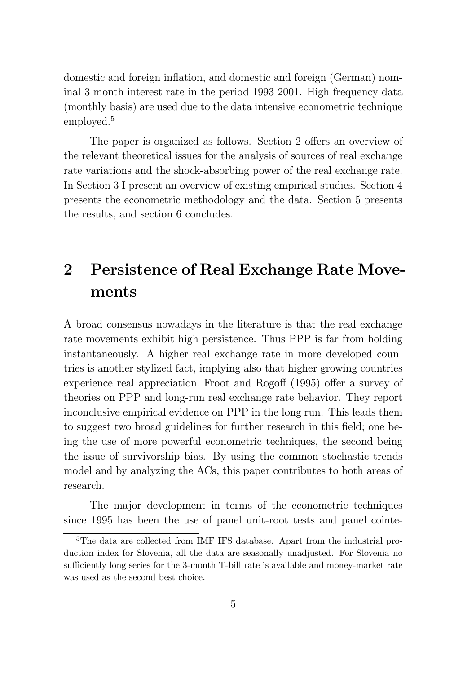domestic and foreign inflation, and domestic and foreign (German) nominal 3-month interest rate in the period 1993-2001. High frequency data (monthly basis) are used due to the data intensive econometric technique employed. 5

The paper is organized as follows. Section 2 offers an overview of the relevant theoretical issues for the analysis of sources of real exchange rate variations and the shock-absorbing power of the real exchange rate. In Section 3 I present an overview of existing empirical studies. Section 4 presents the econometric methodology and the data. Section 5 presents the results, and section 6 concludes.

## 2 Persistence of Real Exchange Rate Movements

A broad consensus nowadays in the literature is that the real exchange rate movements exhibit high persistence. Thus PPP is far from holding instantaneously. A higher real exchange rate in more developed countries is another stylized fact, implying also that higher growing countries experience real appreciation. Froot and Rogoff (1995) offer a survey of theories on PPP and long-run real exchange rate behavior. They report inconclusive empirical evidence on PPP in the long run. This leads them to suggest two broad guidelines for further research in this field; one being the use of more powerful econometric techniques, the second being the issue of survivorship bias. By using the common stochastic trends model and by analyzing the ACs, this paper contributes to both areas of research.

The major development in terms of the econometric techniques since 1995 has been the use of panel unit-root tests and panel cointe-

<sup>&</sup>lt;sup>5</sup>The data are collected from IMF IFS database. Apart from the industrial production index for Slovenia, all the data are seasonally unadjusted. For Slovenia no sufficiently long series for the 3-month T-bill rate is available and money-market rate was used as the second best choice.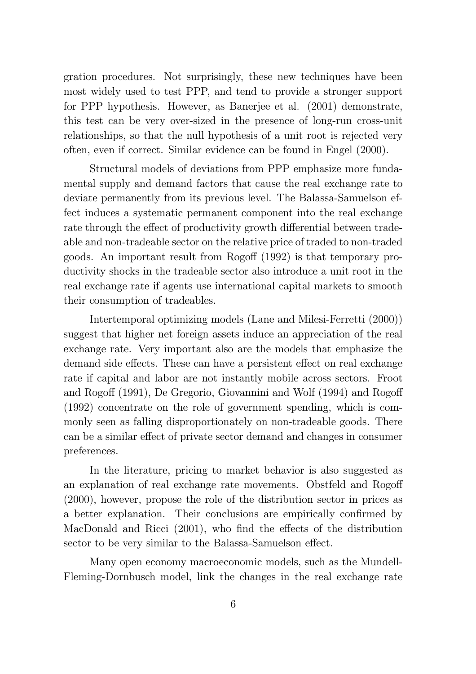gration procedures. Not surprisingly, these new techniques have been most widely used to test PPP, and tend to provide a stronger support for PPP hypothesis. However, as Banerjee et al. (2001) demonstrate, this test can be very over-sized in the presence of long-run cross-unit relationships, so that the null hypothesis of a unit root is rejected very often, even if correct. Similar evidence can be found in Engel (2000).

Structural models of deviations from PPP emphasize more fundamental supply and demand factors that cause the real exchange rate to deviate permanently from its previous level. The Balassa-Samuelson effect induces a systematic permanent component into the real exchange rate through the effect of productivity growth differential between tradeable and non-tradeable sector on the relative price of traded to non-traded goods. An important result from Rogoff (1992) is that temporary productivity shocks in the tradeable sector also introduce a unit root in the real exchange rate if agents use international capital markets to smooth their consumption of tradeables.

Intertemporal optimizing models (Lane and Milesi-Ferretti (2000)) suggest that higher net foreign assets induce an appreciation of the real exchange rate. Very important also are the models that emphasize the demand side effects. These can have a persistent effect on real exchange rate if capital and labor are not instantly mobile across sectors. Froot and Rogoff (1991), De Gregorio, Giovannini and Wolf (1994) and Rogoff (1992) concentrate on the role of government spending, which is commonly seen as falling disproportionately on non-tradeable goods. There can be a similar effect of private sector demand and changes in consumer preferences.

In the literature, pricing to market behavior is also suggested as an explanation of real exchange rate movements. Obstfeld and Rogoff (2000), however, propose the role of the distribution sector in prices as a better explanation. Their conclusions are empirically confirmed by MacDonald and Ricci  $(2001)$ , who find the effects of the distribution sector to be very similar to the Balassa-Samuelson effect.

Many open economy macroeconomic models, such as the Mundell-Fleming-Dornbusch model, link the changes in the real exchange rate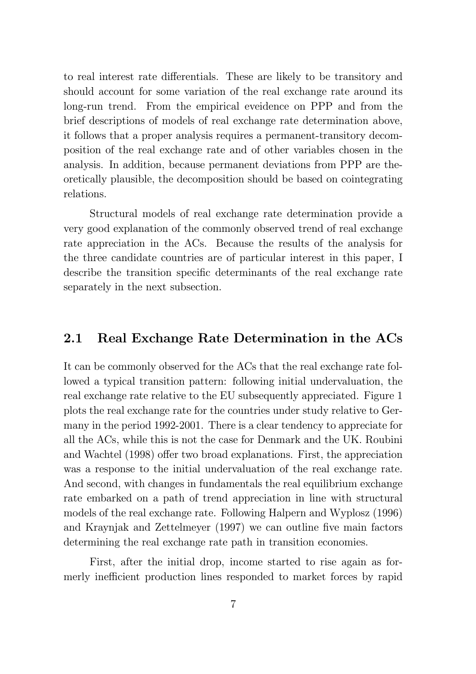to real interest rate differentials. These are likely to be transitory and should account for some variation of the real exchange rate around its long-run trend. From the empirical eveidence on PPP and from the brief descriptions of models of real exchange rate determination above, it follows that a proper analysis requires a permanent-transitory decomposition of the real exchange rate and of other variables chosen in the analysis. In addition, because permanent deviations from PPP are theoretically plausible, the decomposition should be based on cointegrating relations.

Structural models of real exchange rate determination provide a very good explanation of the commonly observed trend of real exchange rate appreciation in the ACs. Because the results of the analysis for the three candidate countries are of particular interest in this paper, I describe the transition specific determinants of the real exchange rate separately in the next subsection.

#### 2.1 Real Exchange Rate Determination in the ACs

It can be commonly observed for the ACs that the real exchange rate followed a typical transition pattern: following initial undervaluation, the real exchange rate relative to the EU subsequently appreciated. Figure 1 plots the real exchange rate for the countries under study relative to Germany in the period 1992-2001. There is a clear tendency to appreciate for all the ACs, while this is not the case for Denmark and the UK. Roubini and Wachtel (1998) offer two broad explanations. First, the appreciation was a response to the initial undervaluation of the real exchange rate. And second, with changes in fundamentals the real equilibrium exchange rate embarked on a path of trend appreciation in line with structural models of the real exchange rate. Following Halpern and Wyplosz (1996) and Kraynjak and Zettelmeyer (1997) we can outline five main factors determining the real exchange rate path in transition economies.

First, after the initial drop, income started to rise again as formerly inefficient production lines responded to market forces by rapid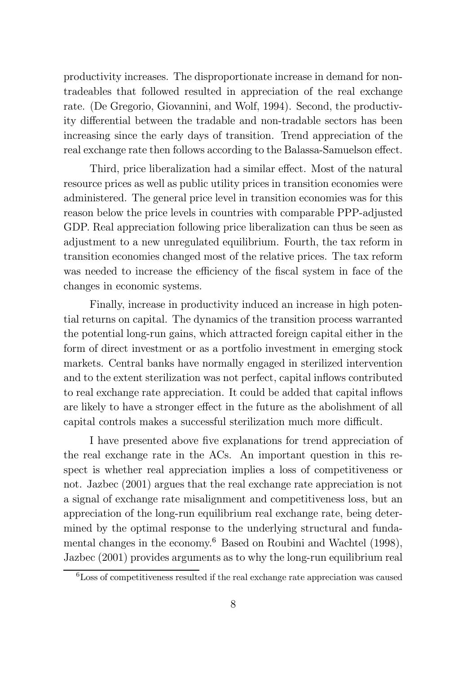productivity increases. The disproportionate increase in demand for nontradeables that followed resulted in appreciation of the real exchange rate. (De Gregorio, Giovannini, and Wolf, 1994). Second, the productivity differential between the tradable and non-tradable sectors has been increasing since the early days of transition. Trend appreciation of the real exchange rate then follows according to the Balassa-Samuelson effect.

Third, price liberalization had a similar effect. Most of the natural resource prices as well as public utility prices in transition economies were administered. The general price level in transition economies was for this reason below the price levels in countries with comparable PPP-adjusted GDP. Real appreciation following price liberalization can thus be seen as adjustment to a new unregulated equilibrium. Fourth, the tax reform in transition economies changed most of the relative prices. The tax reform was needed to increase the efficiency of the fiscal system in face of the changes in economic systems.

Finally, increase in productivity induced an increase in high potential returns on capital. The dynamics of the transition process warranted the potential long-run gains, which attracted foreign capital either in the form of direct investment or as a portfolio investment in emerging stock markets. Central banks have normally engaged in sterilized intervention and to the extent sterilization was not perfect, capital inflows contributed to real exchange rate appreciation. It could be added that capital inflows are likely to have a stronger effect in the future as the abolishment of all capital controls makes a successful sterilization much more difficult.

I have presented above five explanations for trend appreciation of the real exchange rate in the ACs. An important question in this respect is whether real appreciation implies a loss of competitiveness or not. Jazbec (2001) argues that the real exchange rate appreciation is not a signal of exchange rate misalignment and competitiveness loss, but an appreciation of the long-run equilibrium real exchange rate, being determined by the optimal response to the underlying structural and fundamental changes in the economy.<sup>6</sup> Based on Roubini and Wachtel (1998), Jazbec (2001) provides arguments as to why the long-run equilibrium real

<sup>6</sup>Loss of competitiveness resulted if the real exchange rate appreciation was caused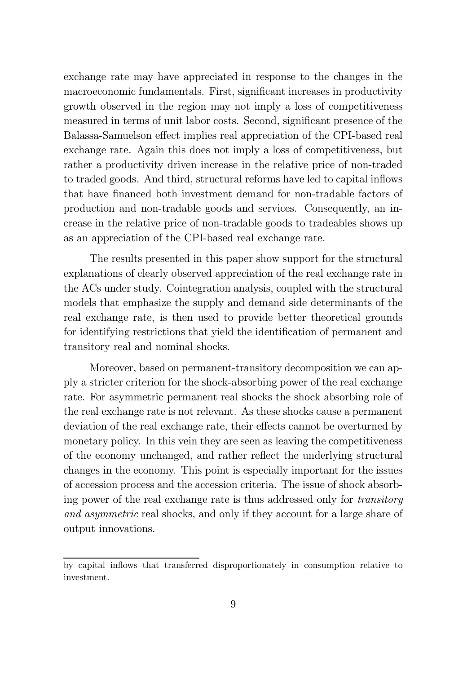exchange rate may have appreciated in response to the changes in the macroeconomic fundamentals. First, significant increases in productivity growth observed in the region may not imply a loss of competitiveness measured in terms of unit labor costs. Second, significant presence of the Balassa-Samuelson effect implies real appreciation of the CPI-based real exchange rate. Again this does not imply a loss of competitiveness, but rather a productivity driven increase in the relative price of non-traded to traded goods. And third, structural reforms have led to capital inflows that have financed both investment demand for non-tradable factors of production and non-tradable goods and services. Consequently, an increase in the relative price of non-tradable goods to tradeables shows up as an appreciation of the CPI-based real exchange rate.

The results presented in this paper show support for the structural explanations of clearly observed appreciation of the real exchange rate in the ACs under study. Cointegration analysis, coupled with the structural models that emphasize the supply and demand side determinants of the real exchange rate, is then used to provide better theoretical grounds for identifying restrictions that yield the identification of permanent and transitory real and nominal shocks.

Moreover, based on permanent-transitory decomposition we can apply a stricter criterion for the shock-absorbing power of the real exchange rate. For asymmetric permanent real shocks the shock absorbing role of the real exchange rate is not relevant. As these shocks cause a permanent deviation of the real exchange rate, their effects cannot be overturned by monetary policy. In this vein they are seen as leaving the competitiveness of the economy unchanged, and rather reflect the underlying structural changes in the economy. This point is especially important for the issues of accession process and the accession criteria. The issue of shock absorbing power of the real exchange rate is thus addressed only for transitory and asymmetric real shocks, and only if they account for a large share of output innovations.

by capital inflows that transferred disproportionately in consumption relative to investment.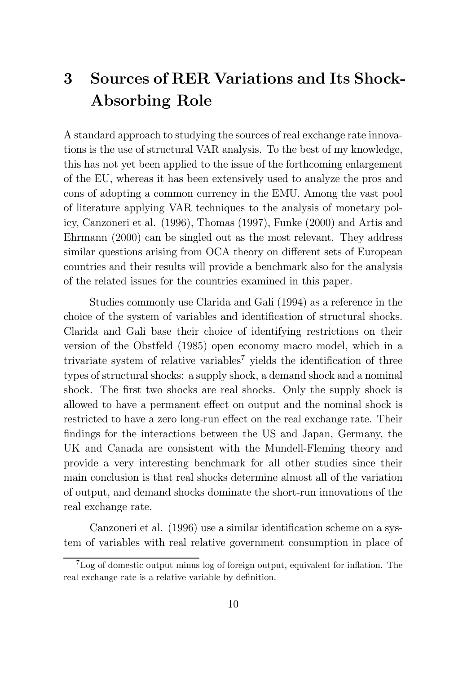## 3 Sources of RER Variations and Its Shock-Absorbing Role

A standard approach to studying the sources of real exchange rate innovations is the use of structural VAR analysis. To the best of my knowledge, this has not yet been applied to the issue of the forthcoming enlargement of the EU, whereas it has been extensively used to analyze the pros and cons of adopting a common currency in the EMU. Among the vast pool of literature applying VAR techniques to the analysis of monetary policy, Canzoneri et al. (1996), Thomas (1997), Funke (2000) and Artis and Ehrmann (2000) can be singled out as the most relevant. They address similar questions arising from OCA theory on different sets of European countries and their results will provide a benchmark also for the analysis of the related issues for the countries examined in this paper.

Studies commonly use Clarida and Gali (1994) as a reference in the choice of the system of variables and identification of structural shocks. Clarida and Gali base their choice of identifying restrictions on their version of the Obstfeld (1985) open economy macro model, which in a trivariate system of relative variables<sup>7</sup> yields the identification of three types of structural shocks: a supply shock, a demand shock and a nominal shock. The first two shocks are real shocks. Only the supply shock is allowed to have a permanent effect on output and the nominal shock is restricted to have a zero long-run effect on the real exchange rate. Their findings for the interactions between the US and Japan, Germany, the UK and Canada are consistent with the Mundell-Fleming theory and provide a very interesting benchmark for all other studies since their main conclusion is that real shocks determine almost all of the variation of output, and demand shocks dominate the short-run innovations of the real exchange rate.

Canzoneri et al. (1996) use a similar identification scheme on a system of variables with real relative government consumption in place of

 ${}^{7}$ Log of domestic output minus log of foreign output, equivalent for inflation. The real exchange rate is a relative variable by definition.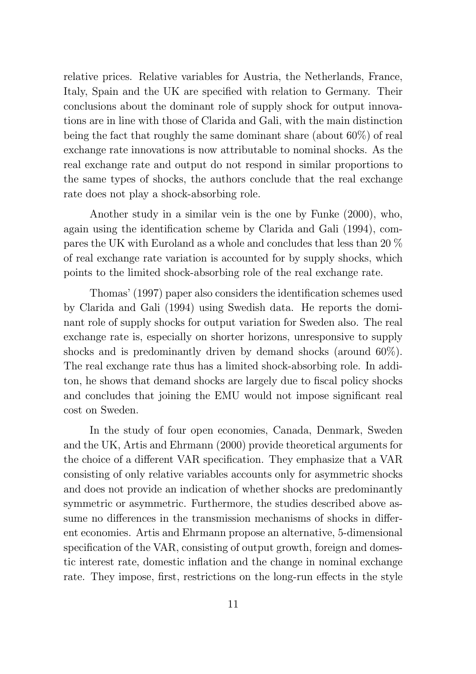relative prices. Relative variables for Austria, the Netherlands, France, Italy, Spain and the UK are specified with relation to Germany. Their conclusions about the dominant role of supply shock for output innovations are in line with those of Clarida and Gali, with the main distinction being the fact that roughly the same dominant share (about 60%) of real exchange rate innovations is now attributable to nominal shocks. As the real exchange rate and output do not respond in similar proportions to the same types of shocks, the authors conclude that the real exchange rate does not play a shock-absorbing role.

Another study in a similar vein is the one by Funke (2000), who, again using the identification scheme by Clarida and Gali (1994), compares the UK with Euroland as a whole and concludes that less than 20 % of real exchange rate variation is accounted for by supply shocks, which points to the limited shock-absorbing role of the real exchange rate.

Thomas' (1997) paper also considers the identification schemes used by Clarida and Gali (1994) using Swedish data. He reports the dominant role of supply shocks for output variation for Sweden also. The real exchange rate is, especially on shorter horizons, unresponsive to supply shocks and is predominantly driven by demand shocks (around 60%). The real exchange rate thus has a limited shock-absorbing role. In additon, he shows that demand shocks are largely due to fiscal policy shocks and concludes that joining the EMU would not impose significant real cost on Sweden.

In the study of four open economies, Canada, Denmark, Sweden and the UK, Artis and Ehrmann (2000) provide theoretical arguments for the choice of a different VAR specification. They emphasize that a VAR consisting of only relative variables accounts only for asymmetric shocks and does not provide an indication of whether shocks are predominantly symmetric or asymmetric. Furthermore, the studies described above assume no differences in the transmission mechanisms of shocks in different economies. Artis and Ehrmann propose an alternative, 5-dimensional specification of the VAR, consisting of output growth, foreign and domestic interest rate, domestic inflation and the change in nominal exchange rate. They impose, first, restrictions on the long-run effects in the style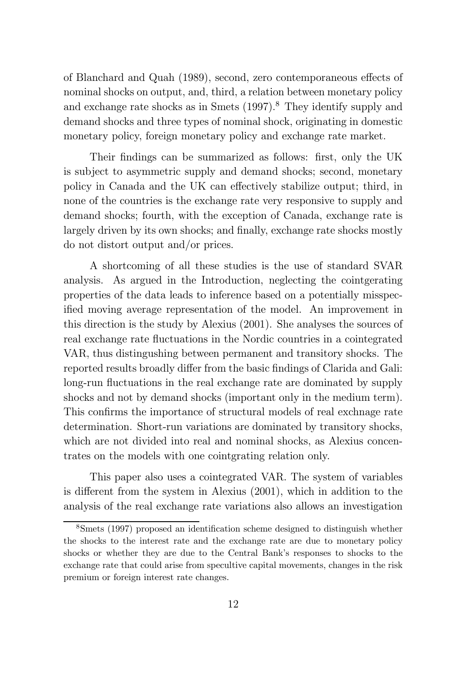of Blanchard and Quah (1989), second, zero contemporaneous effects of nominal shocks on output, and, third, a relation between monetary policy and exchange rate shocks as in Smets (1997). <sup>8</sup> They identify supply and demand shocks and three types of nominal shock, originating in domestic monetary policy, foreign monetary policy and exchange rate market.

Their findings can be summarized as follows: first, only the UK is subject to asymmetric supply and demand shocks; second, monetary policy in Canada and the UK can effectively stabilize output; third, in none of the countries is the exchange rate very responsive to supply and demand shocks; fourth, with the exception of Canada, exchange rate is largely driven by its own shocks; and finally, exchange rate shocks mostly do not distort output and/or prices.

A shortcoming of all these studies is the use of standard SVAR analysis. As argued in the Introduction, neglecting the cointgerating properties of the data leads to inference based on a potentially misspecified moving average representation of the model. An improvement in this direction is the study by Alexius (2001). She analyses the sources of real exchange rate fluctuations in the Nordic countries in a cointegrated VAR, thus distingushing between permanent and transitory shocks. The reported results broadly differ from the basic findings of Clarida and Gali: long-run fluctuations in the real exchange rate are dominated by supply shocks and not by demand shocks (important only in the medium term). This confirms the importance of structural models of real exchnage rate determination. Short-run variations are dominated by transitory shocks, which are not divided into real and nominal shocks, as Alexius concentrates on the models with one cointgrating relation only.

This paper also uses a cointegrated VAR. The system of variables is different from the system in Alexius (2001), which in addition to the analysis of the real exchange rate variations also allows an investigation

 ${}^8$ Smets (1997) proposed an identification scheme designed to distinguish whether the shocks to the interest rate and the exchange rate are due to monetary policy shocks or whether they are due to the Central Bank's responses to shocks to the exchange rate that could arise from specultive capital movements, changes in the risk premium or foreign interest rate changes.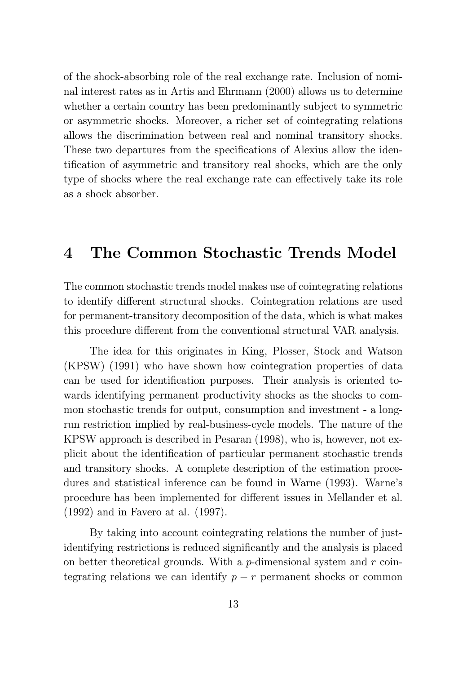of the shock-absorbing role of the real exchange rate. Inclusion of nominal interest rates as in Artis and Ehrmann (2000) allows us to determine whether a certain country has been predominantly subject to symmetric or asymmetric shocks. Moreover, a richer set of cointegrating relations allows the discrimination between real and nominal transitory shocks. These two departures from the specifications of Alexius allow the identification of asymmetric and transitory real shocks, which are the only type of shocks where the real exchange rate can effectively take its role as a shock absorber.

### 4 The Common Stochastic Trends Model

The common stochastic trends model makes use of cointegrating relations to identify different structural shocks. Cointegration relations are used for permanent-transitory decomposition of the data, which is what makes this procedure different from the conventional structural VAR analysis.

The idea for this originates in King, Plosser, Stock and Watson (KPSW) (1991) who have shown how cointegration properties of data can be used for identification purposes. Their analysis is oriented towards identifying permanent productivity shocks as the shocks to common stochastic trends for output, consumption and investment - a longrun restriction implied by real-business-cycle models. The nature of the KPSW approach is described in Pesaran (1998), who is, however, not explicit about the identification of particular permanent stochastic trends and transitory shocks. A complete description of the estimation procedures and statistical inference can be found in Warne (1993). Warne's procedure has been implemented for different issues in Mellander et al. (1992) and in Favero at al. (1997).

By taking into account cointegrating relations the number of justidentifying restrictions is reduced significantly and the analysis is placed on better theoretical grounds. With a  $p$ -dimensional system and  $r$  cointegrating relations we can identify  $p - r$  permanent shocks or common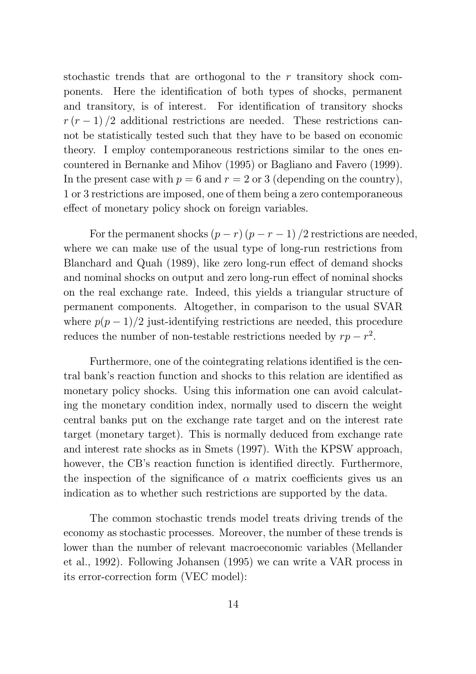stochastic trends that are orthogonal to the r transitory shock components. Here the identification of both types of shocks, permanent and transitory, is of interest. For identification of transitory shocks  $r(r-1)/2$  additional restrictions are needed. These restrictions cannot be statistically tested such that they have to be based on economic theory. I employ contemporaneous restrictions similar to the ones encountered in Bernanke and Mihov (1995) or Bagliano and Favero (1999). In the present case with  $p = 6$  and  $r = 2$  or 3 (depending on the country), 1 or 3 restrictions are imposed, one of them being a zero contemporaneous effect of monetary policy shock on foreign variables.

For the permanent shocks  $(p - r)(p - r - 1)/2$  restrictions are needed, where we can make use of the usual type of long-run restrictions from Blanchard and Quah (1989), like zero long-run effect of demand shocks and nominal shocks on output and zero long-run effect of nominal shocks on the real exchange rate. Indeed, this yields a triangular structure of permanent components. Altogether, in comparison to the usual SVAR where  $p(p-1)/2$  just-identifying restrictions are needed, this procedure reduces the number of non-testable restrictions needed by  $rp - r^2$ .

Furthermore, one of the cointegrating relations identified is the central bank's reaction function and shocks to this relation are identified as monetary policy shocks. Using this information one can avoid calculating the monetary condition index, normally used to discern the weight central banks put on the exchange rate target and on the interest rate target (monetary target). This is normally deduced from exchange rate and interest rate shocks as in Smets (1997). With the KPSW approach, however, the CB's reaction function is identified directly. Furthermore, the inspection of the significance of  $\alpha$  matrix coefficients gives us an indication as to whether such restrictions are supported by the data.

The common stochastic trends model treats driving trends of the economy as stochastic processes. Moreover, the number of these trends is lower than the number of relevant macroeconomic variables (Mellander et al., 1992). Following Johansen (1995) we can write a VAR process in its error-correction form (VEC model):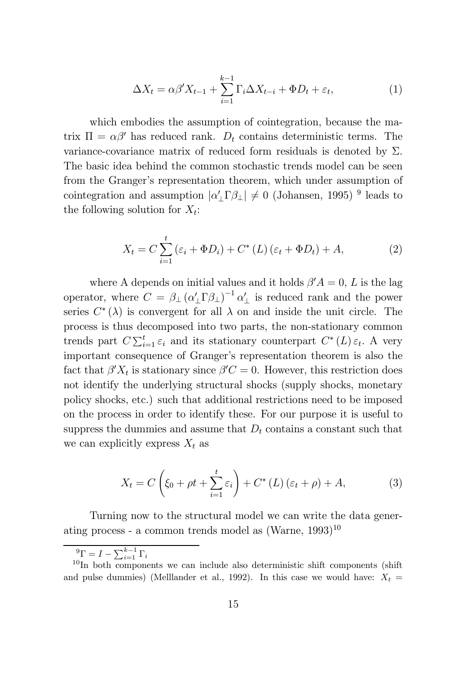$$
\Delta X_t = \alpha \beta' X_{t-1} + \sum_{i=1}^{k-1} \Gamma_i \Delta X_{t-i} + \Phi D_t + \varepsilon_t, \tag{1}
$$

which embodies the assumption of cointegration, because the matrix  $\Pi = \alpha \beta'$  has reduced rank.  $D_t$  contains deterministic terms. The variance-covariance matrix of reduced form residuals is denoted by  $\Sigma$ . The basic idea behind the common stochastic trends model can be seen from the Granger's representation theorem, which under assumption of cointegration and assumption  $|\alpha'_{\perp}\Gamma\beta_{\perp}| \neq 0$  (Johansen, 1995)<sup>9</sup> leads to the following solution for  $X_t$ :

$$
X_t = C \sum_{i=1}^t \left(\varepsilon_i + \Phi D_i\right) + C^* \left(L\right) \left(\varepsilon_t + \Phi D_t\right) + A,\tag{2}
$$

where A depends on initial values and it holds  $\beta' A = 0, L$  is the lag operator, where  $C = \beta_{\perp} (\alpha'_{\perp} \Gamma \beta_{\perp})^{-1} \alpha'_{\perp}$  is reduced rank and the power series  $C^*(\lambda)$  is convergent for all  $\lambda$  on and inside the unit circle. The process is thus decomposed into two parts, the non-stationary common trends part  $C \sum_{i=1}^t \varepsilon_i$  and its stationary counterpart  $C^*(L) \varepsilon_t$ . A very important consequence of Granger's representation theorem is also the fact that  $\beta' X_t$  is stationary since  $\beta' C = 0$ . However, this restriction does not identify the underlying structural shocks (supply shocks, monetary policy shocks, etc.) such that additional restrictions need to be imposed on the process in order to identify these. For our purpose it is useful to suppress the dummies and assume that  $D_t$  contains a constant such that we can explicitly express  $X_t$  as

$$
X_t = C\left(\xi_0 + \rho t + \sum_{i=1}^t \varepsilon_i\right) + C^*\left(L\right)\left(\varepsilon_t + \rho\right) + A,\tag{3}
$$

Turning now to the structural model we can write the data generating process - a common trends model as (Warne, 1993) 10

 ${}^{9}\Gamma = I - \sum_{i=1}^{k-1} \Gamma_i$ 

<sup>&</sup>lt;sup>10</sup>In both components we can include also deterministic shift components (shift and pulse dummies) (Melllander et al., 1992). In this case we would have:  $X_t =$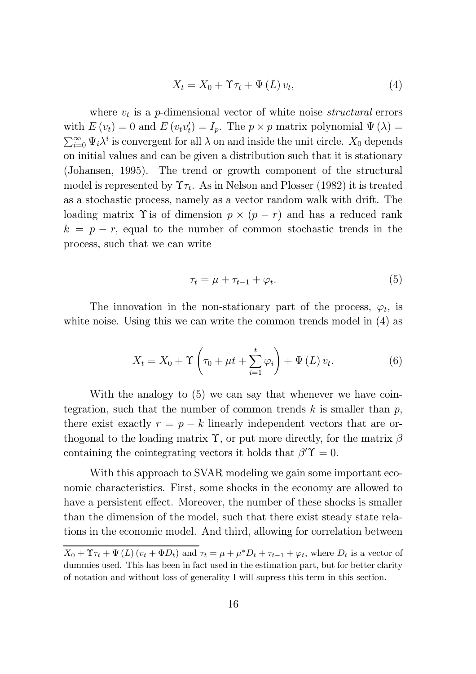$$
X_{t} = X_{0} + \Upsilon \tau_{t} + \Psi(L) v_{t}, \qquad (4)
$$

where  $v_t$  is a p-dimensional vector of white noise *structural* errors with  $E(v_t) = 0$  and  $E(v_t v_t') = I_p$ . The  $p \times p$  matrix polynomial  $\Psi(\lambda) = \sum_{\alpha}^{\infty} \Psi_{i} \lambda^{i}$  is convergent for all  $\lambda$  on and inside the unit circle.  $X_0$  depends  $\sum_{i=0}^{\infty} \Psi_i \lambda^i$  is convergent for all  $\lambda$  on and inside the unit circle.  $X_0$  depends on initial values and can be given a distribution such that it is stationary (Johansen, 1995). The trend or growth component of the structural model is represented by  $\Upsilon \tau_t$ . As in Nelson and Plosser (1982) it is treated as a stochastic process, namely as a vector random walk with drift. The loading matrix  $\Upsilon$  is of dimension  $p \times (p - r)$  and has a reduced rank  $k = p - r$ , equal to the number of common stochastic trends in the process, such that we can write

$$
\tau_t = \mu + \tau_{t-1} + \varphi_t. \tag{5}
$$

The innovation in the non-stationary part of the process,  $\varphi_t$ , is white noise. Using this we can write the common trends model in  $(4)$  as

$$
X_{t}=X_{0}+\Upsilon\left(\tau_{0}+\mu t+\sum_{i=1}^{t}\varphi_{i}\right)+\Psi\left(L\right)v_{t}.
$$
\n(6)

With the analogy to  $(5)$  we can say that whenever we have cointegration, such that the number of common trends  $k$  is smaller than  $p$ , there exist exactly  $r = p - k$  linearly independent vectors that are orthogonal to the loading matrix  $\Upsilon$ , or put more directly, for the matrix  $\beta$ containing the cointegrating vectors it holds that  $\beta' \Upsilon = 0$ .

With this approach to SVAR modeling we gain some important economic characteristics. First, some shocks in the economy are allowed to have a persistent effect. Moreover, the number of these shocks is smaller than the dimension of the model, such that there exist steady state relations in the economic model. And third, allowing for correlation between

 $X_0 + \Upsilon \tau_t + \Psi(L) (v_t + \Phi D_t)$  and  $\tau_t = \mu + \mu^* D_t + \tau_{t-1} + \varphi_t$ , where  $D_t$  is a vector of dummies used. This has been in fact used in the estimation part, but for better clarity of notation and without loss of generality I will supress this term in this section.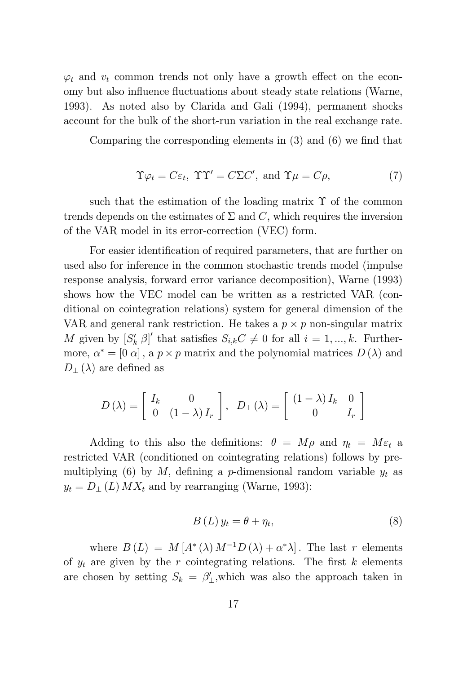$\varphi_t$  and  $v_t$  common trends not only have a growth effect on the economy but also influence fluctuations about steady state relations (Warne, 1993). As noted also by Clarida and Gali (1994), permanent shocks account for the bulk of the short-run variation in the real exchange rate.

Comparing the corresponding elements in  $(3)$  and  $(6)$  we find that

$$
\Upsilon \varphi_t = C \varepsilon_t, \ \Upsilon \Upsilon' = C \Sigma C', \ \text{and} \ \Upsilon \mu = C \rho, \tag{7}
$$

such that the estimation of the loading matrix  $\Upsilon$  of the common trends depends on the estimates of  $\Sigma$  and C, which requires the inversion of the VAR model in its error-correction (VEC) form.

For easier identification of required parameters, that are further on used also for inference in the common stochastic trends model (impulse response analysis, forward error variance decomposition), Warne (1993) shows how the VEC model can be written as a restricted VAR (conditional on cointegration relations) system for general dimension of the VAR and general rank restriction. He takes a  $p \times p$  non-singular matrix M given by  $[S'_k \; \beta]'$  that satisfies  $S_{i,k}C \neq 0$  for all  $i = 1, ..., k$ . Furthermore,  $\alpha^* = [0 \alpha]$ , a  $p \times p$  matrix and the polynomial matrices  $D(\lambda)$  and  $D_{\perp}(\lambda)$  are defined as

$$
D(\lambda) = \begin{bmatrix} I_k & 0 \\ 0 & (1 - \lambda) I_r \end{bmatrix}, \ D_{\perp}(\lambda) = \begin{bmatrix} (1 - \lambda) I_k & 0 \\ 0 & I_r \end{bmatrix}
$$

Adding to this also the definitions:  $\theta = M\rho$  and  $\eta_t = M\varepsilon_t$  a restricted VAR (conditioned on cointegrating relations) follows by premultiplying (6) by M, defining a p-dimensional random variable  $y_t$  as  $y_t = D_{\perp}(L)$   $MX_t$  and by rearranging (Warne, 1993):

$$
B\left(L\right)y_t = \theta + \eta_t,\tag{8}
$$

where  $B(L) = M[A^*(\lambda) M^{-1}D(\lambda) + \alpha^*\lambda]$ . The last r elements of  $y_t$  are given by the r cointegrating relations. The first k elements are chosen by setting  $S_k = \beta'_{\perp}$ , which was also the approach taken in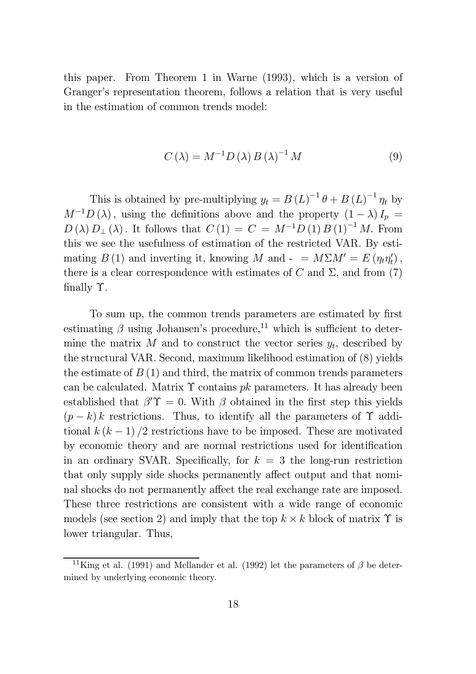this paper. From Theorem 1 in Warne (1993), which is a version of Granger's representation theorem, follows a relation that is very useful in the estimation of common trends model:

$$
C(\lambda) = M^{-1} D(\lambda) B(\lambda)^{-1} M \tag{9}
$$

This is obtained by pre-multiplying  $y_t = B(L)^{-1} \theta + B(L)^{-1} \eta_t$  by  $M^{-1}D(\lambda)$ , using the definitions above and the property  $(1 - \lambda)I_p =$  $D(\lambda) D_{\perp}(\lambda)$ . It follows that  $C(1) = C = M^{-1}D(1) B(1)^{-1} M$ . From this we see the usefulness of estimation of the restricted VAR. By estimating  $B(1)$  and inverting it, knowing M and  $- = M\Sigma M' = E(\eta_t \eta'_t)$ , there is a clear correspondence with estimates of C and  $\Sigma$ , and from (7) finally  $\Upsilon$ .

To sum up, the common trends parameters are estimated by first estimating  $\beta$  using Johansen's procedure,<sup>11</sup> which is sufficient to determine the matrix  $M$  and to construct the vector series  $y_t$ , described by the structural VAR. Second, maximum likelihood estimation of (8) yields the estimate of  $B(1)$  and third, the matrix of common trends parameters can be calculated. Matrix  $\Upsilon$  contains pk parameters. It has already been established that  $\beta' \Upsilon = 0$ . With  $\beta$  obtained in the first step this yields  $(p - k) k$  restrictions. Thus, to identify all the parameters of  $\Upsilon$  additional  $k (k - 1) / 2$  restrictions have to be imposed. These are motivated by economic theory and are normal restrictions used for identification in an ordinary SVAR. Specifically, for  $k = 3$  the long-run restriction that only supply side shocks permanently affect output and that nominal shocks do not permanently affect the real exchange rate are imposed. These three restrictions are consistent with a wide range of economic models (see section 2) and imply that the top  $k \times k$  block of matrix  $\Upsilon$  is lower triangular. Thus,

<sup>&</sup>lt;sup>11</sup>King et al. (1991) and Mellander et al. (1992) let the parameters of  $\beta$  be determined by underlying economic theory.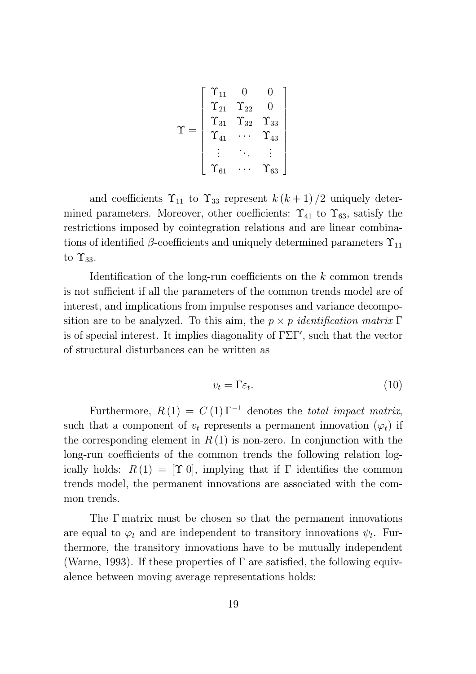$$
\Upsilon = \left[ \begin{array}{cccc} \Upsilon_{11} & 0 & 0 \\ \Upsilon_{21} & \Upsilon_{22} & 0 \\ \Upsilon_{31} & \Upsilon_{32} & \Upsilon_{33} \\ \Upsilon_{41} & \cdots & \Upsilon_{43} \\ \vdots & \ddots & \vdots \\ \Upsilon_{61} & \cdots & \Upsilon_{63} \end{array} \right]
$$

and coefficients  $\Upsilon_{11}$  to  $\Upsilon_{33}$  represent  $k (k + 1)/2$  uniquely determined parameters. Moreover, other coefficients:  $\Upsilon_{41}$  to  $\Upsilon_{63}$ , satisfy the restrictions imposed by cointegration relations and are linear combinations of identified  $\beta$ -coefficients and uniquely determined parameters  $\Upsilon_{11}$ to  $\Upsilon_{33}$ .

Identification of the long-run coefficients on the  $k$  common trends is not sufficient if all the parameters of the common trends model are of interest, and implications from impulse responses and variance decomposition are to be analyzed. To this aim, the  $p \times p$  identification matrix  $\Gamma$ is of special interest. It implies diagonality of  $\Gamma \Sigma \Gamma'$ , such that the vector of structural disturbances can be written as

$$
v_t = \Gamma \varepsilon_t. \tag{10}
$$

Furthermore,  $R(1) = C(1) \Gamma^{-1}$  denotes the *total impact matrix*, such that a component of  $v_t$  represents a permanent innovation  $(\varphi_t)$  if the corresponding element in  $R(1)$  is non-zero. In conjunction with the long-run coefficients of the common trends the following relation logically holds:  $R(1) = [\Upsilon 0]$ , implying that if  $\Gamma$  identifies the common trends model, the permanent innovations are associated with the common trends.

The  $\Gamma$  matrix must be chosen so that the permanent innovations are equal to  $\varphi_t$  and are independent to transitory innovations  $\psi_t$ . Furthermore, the transitory innovations have to be mutually independent (Warne, 1993). If these properties of  $\Gamma$  are satisfied, the following equivalence between moving average representations holds: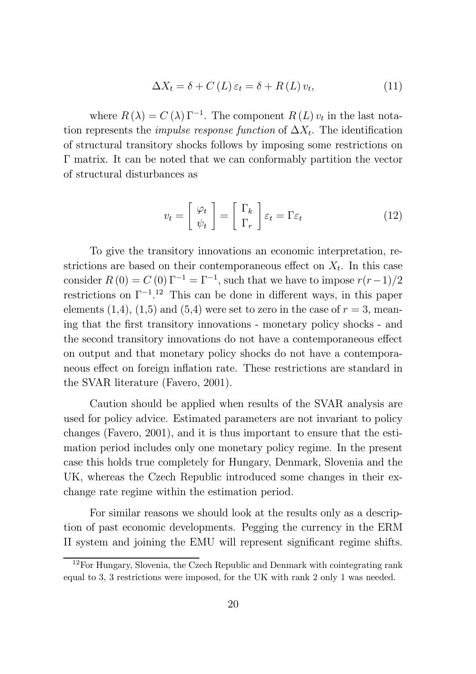$$
\Delta X_t = \delta + C(L)\,\varepsilon_t = \delta + R(L)\,v_t,\tag{11}
$$

where  $R(\lambda) = C(\lambda) \Gamma^{-1}$ . The component  $R(L) v_t$  in the last notation represents the *impulse response function* of  $\Delta X_t$ . The identification of structural transitory shocks follows by imposing some restrictions on  $\Gamma$  matrix. It can be noted that we can conformably partition the vector of structural disturbances as

$$
v_t = \begin{bmatrix} \varphi_t \\ \psi_t \end{bmatrix} = \begin{bmatrix} \Gamma_k \\ \Gamma_r \end{bmatrix} \varepsilon_t = \Gamma \varepsilon_t \qquad (12)
$$

To give the transitory innovations an economic interpretation, restrictions are based on their contemporaneous effect on  $X_t$ . In this case consider  $R(0) = C(0) \Gamma^{-1} = \Gamma^{-1}$ , such that we have to impose  $r(r-1)/2$ restrictions on  $\Gamma^{-1}$ .<sup>12</sup> This can be done in different ways, in this paper elements  $(1,4)$ ,  $(1,5)$  and  $(5,4)$  were set to zero in the case of  $r=3$ , meaning that the first transitory innovations - monetary policy shocks - and the second transitory innovations do not have a contemporaneous effect on output and that monetary policy shocks do not have a contemporaneous effect on foreign inflation rate. These restrictions are standard in the SVAR literature (Favero, 2001).

Caution should be applied when results of the SVAR analysis are used for policy advice. Estimated parameters are not invariant to policy changes (Favero, 2001), and it is thus important to ensure that the estimation period includes only one monetary policy regime. In the present case this holds true completely for Hungary, Denmark, Slovenia and the UK, whereas the Czech Republic introduced some changes in their exchange rate regime within the estimation period.

For similar reasons we should look at the results only as a description of past economic developments. Pegging the currency in the ERM II system and joining the EMU will represent significant regime shifts.

 $12$ For Hungary, Slovenia, the Czech Republic and Denmark with cointegrating rank equal to 3, 3 restrictions were imposed, for the UK with rank 2 only 1 was needed.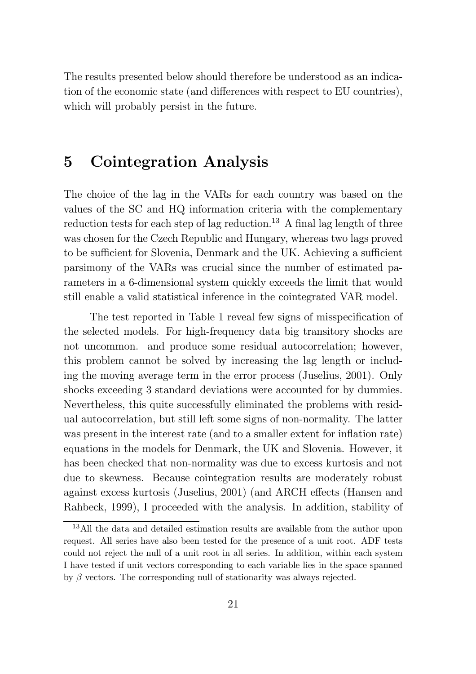The results presented below should therefore be understood as an indication of the economic state (and differences with respect to EU countries), which will probably persist in the future.

#### 5 Cointegration Analysis

The choice of the lag in the VARs for each country was based on the values of the SC and HQ information criteria with the complementary reduction tests for each step of lag reduction.<sup>13</sup> A final lag length of three was chosen for the Czech Republic and Hungary, whereas two lags proved to be sufficient for Slovenia, Denmark and the UK. Achieving a sufficient parsimony of the VARs was crucial since the number of estimated parameters in a 6-dimensional system quickly exceeds the limit that would still enable a valid statistical inference in the cointegrated VAR model.

The test reported in Table 1 reveal few signs of misspecification of the selected models. For high-frequency data big transitory shocks are not uncommon. and produce some residual autocorrelation; however, this problem cannot be solved by increasing the lag length or including the moving average term in the error process (Juselius, 2001). Only shocks exceeding 3 standard deviations were accounted for by dummies. Nevertheless, this quite successfully eliminated the problems with residual autocorrelation, but still left some signs of non-normality. The latter was present in the interest rate (and to a smaller extent for inflation rate) equations in the models for Denmark, the UK and Slovenia. However, it has been checked that non-normality was due to excess kurtosis and not due to skewness. Because cointegration results are moderately robust against excess kurtosis (Juselius, 2001) (and ARCH effects (Hansen and Rahbeck, 1999), I proceeded with the analysis. In addition, stability of

<sup>&</sup>lt;sup>13</sup>All the data and detailed estimation results are available from the author upon request. All series have also been tested for the presence of a unit root. ADF tests could not reject the null of a unit root in all series. In addition, within each system I have tested if unit vectors corresponding to each variable lies in the space spanned by  $\beta$  vectors. The corresponding null of stationarity was always rejected.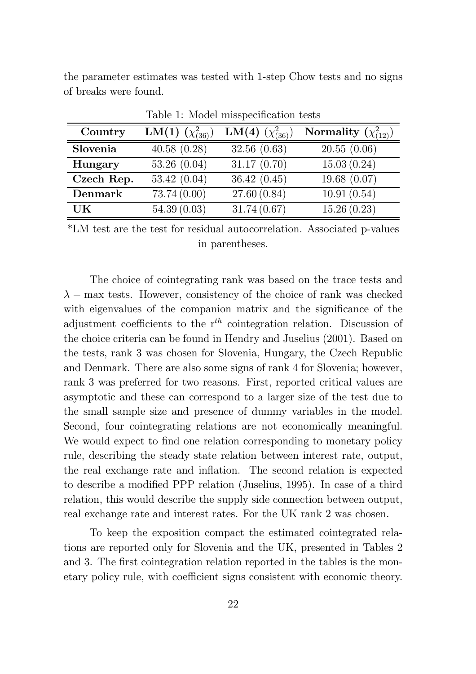the parameter estimates was tested with 1-step Chow tests and no signs of breaks were found.

| Lable 1. Model importantation tests |                         |                                |                             |  |  |  |  |  |  |
|-------------------------------------|-------------------------|--------------------------------|-----------------------------|--|--|--|--|--|--|
| Country                             | LM(1) $(\chi^2_{(36)})$ | <b>LM(4)</b> $(\chi^2_{(36)})$ | Normality $(\chi^2_{(12)})$ |  |  |  |  |  |  |
| Slovenia                            | 40.58(0.28)             | 32.56(0.63)                    | 20.55(0.06)                 |  |  |  |  |  |  |
| Hungary                             | 53.26(0.04)             | 31.17(0.70)                    | 15.03(0.24)                 |  |  |  |  |  |  |
| Czech Rep.                          | 53.42 $(0.04)$          | 36.42(0.45)                    | 19.68(0.07)                 |  |  |  |  |  |  |
| Denmark                             | 73.74 (0.00)            | 27.60(0.84)                    | 10.91(0.54)                 |  |  |  |  |  |  |
| UK                                  | 54.39(0.03)             | 31.74(0.67)                    | 15.26(0.23)                 |  |  |  |  |  |  |

Table 1: Model misspecification tests

\*LM test are the test for residual autocorrelation. Associated p-values in parentheses.

The choice of cointegrating rank was based on the trace tests and  $\lambda$  – max tests. However, consistency of the choice of rank was checked with eigenvalues of the companion matrix and the significance of the adjustment coefficients to the  $r^{th}$  cointegration relation. Discussion of the choice criteria can be found in Hendry and Juselius (2001). Based on the tests, rank 3 was chosen for Slovenia, Hungary, the Czech Republic and Denmark. There are also some signs of rank 4 for Slovenia; however, rank 3 was preferred for two reasons. First, reported critical values are asymptotic and these can correspond to a larger size of the test due to the small sample size and presence of dummy variables in the model. Second, four cointegrating relations are not economically meaningful. We would expect to find one relation corresponding to monetary policy rule, describing the steady state relation between interest rate, output, the real exchange rate and inflation. The second relation is expected to describe a modified PPP relation (Juselius, 1995). In case of a third relation, this would describe the supply side connection between output, real exchange rate and interest rates. For the UK rank 2 was chosen.

To keep the exposition compact the estimated cointegrated relations are reported only for Slovenia and the UK, presented in Tables 2 and 3. The first cointegration relation reported in the tables is the monetary policy rule, with coefficient signs consistent with economic theory.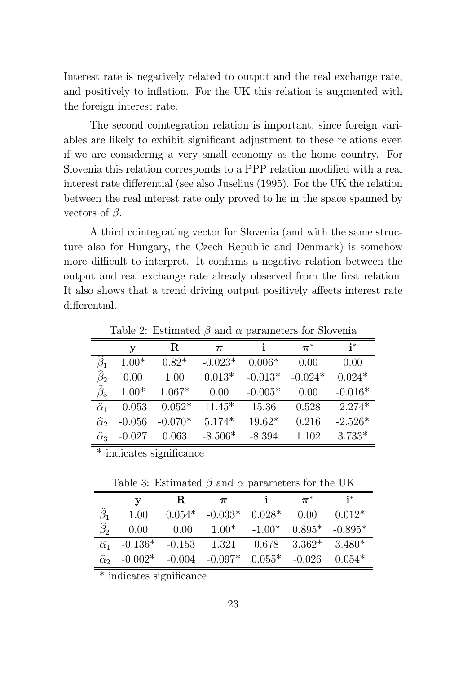Interest rate is negatively related to output and the real exchange rate, and positively to inflation. For the UK this relation is augmented with the foreign interest rate.

The second cointegration relation is important, since foreign variables are likely to exhibit significant adjustment to these relations even if we are considering a very small economy as the home country. For Slovenia this relation corresponds to a PPP relation modified with a real interest rate differential (see also Juselius (1995). For the UK the relation between the real interest rate only proved to lie in the space spanned by vectors of  $\beta$ .

A third cointegrating vector for Slovenia (and with the same structure also for Hungary, the Czech Republic and Denmark) is somehow more difficult to interpret. It confirms a negative relation between the output and real exchange rate already observed from the first relation. It also shows that a trend driving output positively affects interest rate differential.

|                      | у        | $\bf R$   | $\pi$     |           | $\pi^*$   | $i^*$     |
|----------------------|----------|-----------|-----------|-----------|-----------|-----------|
|                      | $1.00*$  | $0.82*$   | $-0.023*$ | $0.006*$  | 0.00      | 0.00      |
| $\widehat{\beta}_2$  | 0.00     | 1.00      | $0.013*$  | $-0.013*$ | $-0.024*$ | $0.024*$  |
| $\widehat{\beta}_3$  | $1.00*$  | $1.067*$  | 0.00      | $-0.005*$ | 0.00      | $-0.016*$ |
| $\widehat{\alpha}_1$ | $-0.053$ | $-0.052*$ | $11.45*$  | 15.36     | 0.528     | $-2.274*$ |
| $\widehat{\alpha}_2$ | $-0.056$ | $-0.070*$ | $5.174*$  | $19.62*$  | 0.216     | $-2.526*$ |
| $\widehat{\alpha}_3$ | $-0.027$ | 0.063     | $-8.506*$ | $-8.394$  | 1.102     | $3.733*$  |

Table 2: Estimated  $\beta$  and  $\alpha$  parameters for Slovenia

 $*$  indicates significance

Table 3: Estimated  $\beta$  and  $\alpha$  parameters for the UK

|                      | $\mathbf v$                                          | $\mathbf R$ | $\bm{\pi}$                   |                              | $\bm{\pi}^*$ |           |
|----------------------|------------------------------------------------------|-------------|------------------------------|------------------------------|--------------|-----------|
|                      | 1.00                                                 | $0.054*$    | $-0.033*$ 0.028 <sup>*</sup> |                              | 0.00         | $0.012*$  |
| $\widehat{\beta}_2$  | 0.00                                                 | 0.00        |                              | $1.00^*$ $-1.00^*$ $0.895^*$ |              | $-0.895*$ |
| $\widehat{\alpha}_1$ | $-0.136*$ $-0.153$ $1.321$ $0.678$ $3.362*$ $3.480*$ |             |                              |                              |              |           |
| $\widehat{\alpha}_2$ | $-0.002*$                                            |             | $-0.004$ $-0.097*$ $0.055*$  |                              | $-0.026$     | $0.054*$  |

 $*$  indicates significance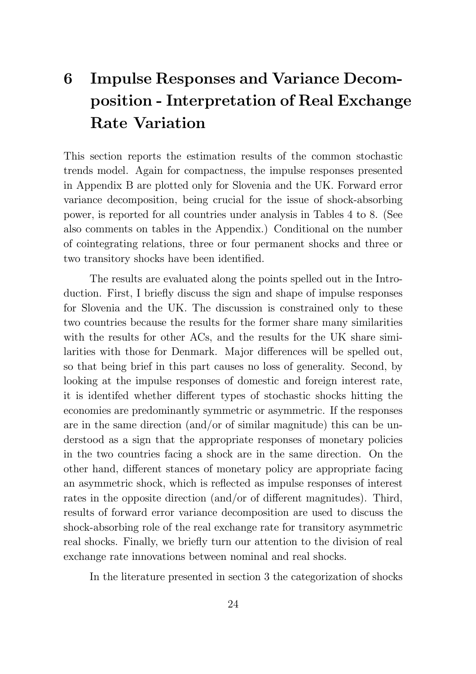## 6 Impulse Responses and Variance Decomposition - Interpretation of Real Exchange Rate Variation

This section reports the estimation results of the common stochastic trends model. Again for compactness, the impulse responses presented in Appendix B are plotted only for Slovenia and the UK. Forward error variance decomposition, being crucial for the issue of shock-absorbing power, is reported for all countries under analysis in Tables 4 to 8. (See also comments on tables in the Appendix.) Conditional on the number of cointegrating relations, three or four permanent shocks and three or two transitory shocks have been identified.

The results are evaluated along the points spelled out in the Introduction. First, I briefly discuss the sign and shape of impulse responses for Slovenia and the UK. The discussion is constrained only to these two countries because the results for the former share many similarities with the results for other ACs, and the results for the UK share similarities with those for Denmark. Major differences will be spelled out, so that being brief in this part causes no loss of generality. Second, by looking at the impulse responses of domestic and foreign interest rate, it is identifed whether different types of stochastic shocks hitting the economies are predominantly symmetric or asymmetric. If the responses are in the same direction (and/or of similar magnitude) this can be understood as a sign that the appropriate responses of monetary policies in the two countries facing a shock are in the same direction. On the other hand, different stances of monetary policy are appropriate facing an asymmetric shock, which is reflected as impulse responses of interest rates in the opposite direction (and/or of different magnitudes). Third, results of forward error variance decomposition are used to discuss the shock-absorbing role of the real exchange rate for transitory asymmetric real shocks. Finally, we briefly turn our attention to the division of real exchange rate innovations between nominal and real shocks.

In the literature presented in section 3 the categorization of shocks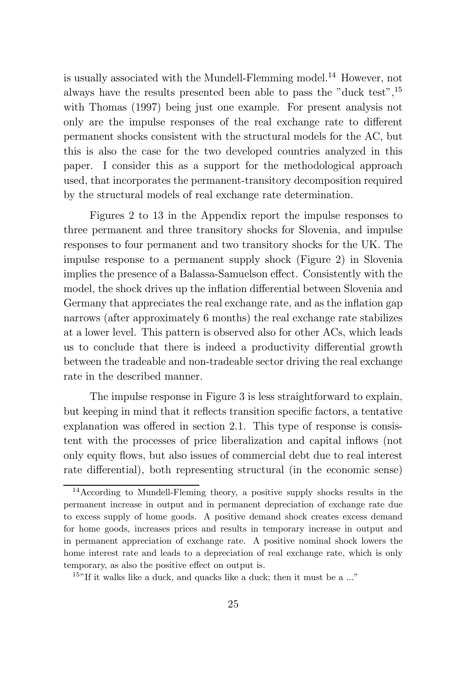is usually associated with the Mundell-Flemming model. <sup>14</sup> However, not always have the results presented been able to pass the "duck test", 15 with Thomas (1997) being just one example. For present analysis not only are the impulse responses of the real exchange rate to different permanent shocks consistent with the structural models for the AC, but this is also the case for the two developed countries analyzed in this paper. I consider this as a support for the methodological approach used, that incorporates the permanent-transitory decomposition required by the structural models of real exchange rate determination.

Figures 2 to 13 in the Appendix report the impulse responses to three permanent and three transitory shocks for Slovenia, and impulse responses to four permanent and two transitory shocks for the UK. The impulse response to a permanent supply shock (Figure 2) in Slovenia implies the presence of a Balassa-Samuelson effect. Consistently with the model, the shock drives up the inflation differential between Slovenia and Germany that appreciates the real exchange rate, and as the inflation gap narrows (after approximately 6 months) the real exchange rate stabilizes at a lower level. This pattern is observed also for other ACs, which leads us to conclude that there is indeed a productivity differential growth between the tradeable and non-tradeable sector driving the real exchange rate in the described manner.

The impulse response in Figure 3 is less straightforward to explain, but keeping in mind that it reflects transition specific factors, a tentative explanation was offered in section 2.1. This type of response is consistent with the processes of price liberalization and capital inflows (not only equity flows, but also issues of commercial debt due to real interest rate differential), both representing structural (in the economic sense)

<sup>14</sup>According to Mundell-Fleming theory, a positive supply shocks results in the permanent increase in output and in permanent depreciation of exchange rate due to excess supply of home goods. A positive demand shock creates excess demand for home goods, increases prices and results in temporary increase in output and in permanent appreciation of exchange rate. A positive nominal shock lowers the home interest rate and leads to a depreciation of real exchange rate, which is only temporary, as also the positive effect on output is.

<sup>&</sup>lt;sup>15</sup>"If it walks like a duck, and quacks like a duck; then it must be a  $\ldots$ "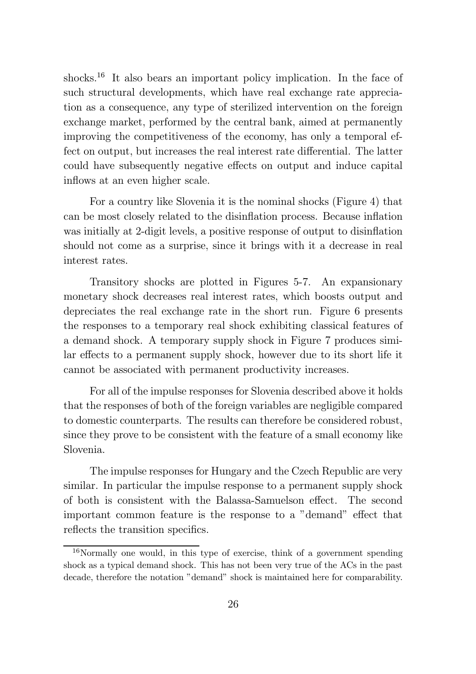shocks.<sup>16</sup> It also bears an important policy implication. In the face of such structural developments, which have real exchange rate appreciation as a consequence, any type of sterilized intervention on the foreign exchange market, performed by the central bank, aimed at permanently improving the competitiveness of the economy, has only a temporal effect on output, but increases the real interest rate differential. The latter could have subsequently negative effects on output and induce capital inflows at an even higher scale.

For a country like Slovenia it is the nominal shocks (Figure 4) that can be most closely related to the disinflation process. Because inflation was initially at 2-digit levels, a positive response of output to disinflation should not come as a surprise, since it brings with it a decrease in real interest rates.

Transitory shocks are plotted in Figures 5-7. An expansionary monetary shock decreases real interest rates, which boosts output and depreciates the real exchange rate in the short run. Figure 6 presents the responses to a temporary real shock exhibiting classical features of a demand shock. A temporary supply shock in Figure 7 produces similar effects to a permanent supply shock, however due to its short life it cannot be associated with permanent productivity increases.

For all of the impulse responses for Slovenia described above it holds that the responses of both of the foreign variables are negligible compared to domestic counterparts. The results can therefore be considered robust, since they prove to be consistent with the feature of a small economy like Slovenia.

The impulse responses for Hungary and the Czech Republic are very similar. In particular the impulse response to a permanent supply shock of both is consistent with the Balassa-Samuelson effect. The second important common feature is the response to a "demand" effect that reflects the transition specifics.

<sup>16</sup>Normally one would, in this type of exercise, think of a government spending shock as a typical demand shock. This has not been very true of the ACs in the past decade, therefore the notation "demand" shock is maintained here for comparability.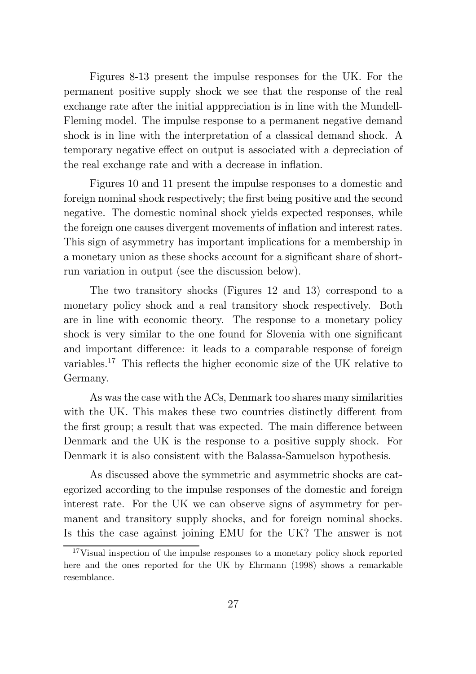Figures 8-13 present the impulse responses for the UK. For the permanent positive supply shock we see that the response of the real exchange rate after the initial apppreciation is in line with the Mundell-Fleming model. The impulse response to a permanent negative demand shock is in line with the interpretation of a classical demand shock. A temporary negative effect on output is associated with a depreciation of the real exchange rate and with a decrease in inflation.

Figures 10 and 11 present the impulse responses to a domestic and foreign nominal shock respectively; the first being positive and the second negative. The domestic nominal shock yields expected responses, while the foreign one causes divergent movements of inflation and interest rates. This sign of asymmetry has important implications for a membership in a monetary union as these shocks account for a significant share of shortrun variation in output (see the discussion below).

The two transitory shocks (Figures 12 and 13) correspond to a monetary policy shock and a real transitory shock respectively. Both are in line with economic theory. The response to a monetary policy shock is very similar to the one found for Slovenia with one significant and important difference: it leads to a comparable response of foreign variables.<sup>17</sup> This reflects the higher economic size of the UK relative to Germany.

As was the case with the ACs, Denmark too shares many similarities with the UK. This makes these two countries distinctly different from the first group; a result that was expected. The main difference between Denmark and the UK is the response to a positive supply shock. For Denmark it is also consistent with the Balassa-Samuelson hypothesis.

As discussed above the symmetric and asymmetric shocks are categorized according to the impulse responses of the domestic and foreign interest rate. For the UK we can observe signs of asymmetry for permanent and transitory supply shocks, and for foreign nominal shocks. Is this the case against joining EMU for the UK? The answer is not

<sup>17</sup>Visual inspection of the impulse responses to a monetary policy shock reported here and the ones reported for the UK by Ehrmann (1998) shows a remarkable resemblance.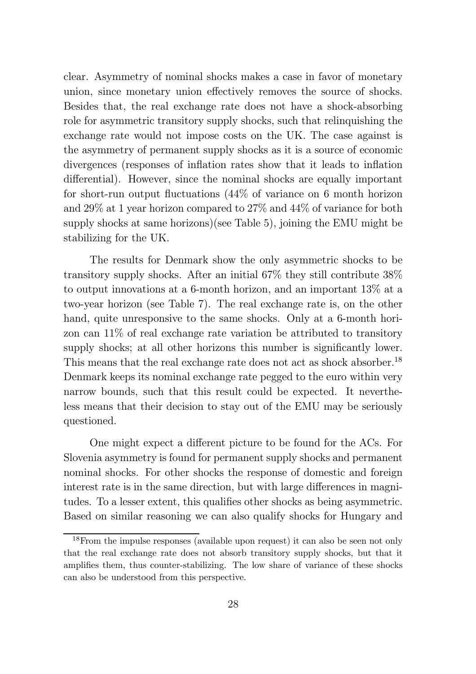clear. Asymmetry of nominal shocks makes a case in favor of monetary union, since monetary union effectively removes the source of shocks. Besides that, the real exchange rate does not have a shock-absorbing role for asymmetric transitory supply shocks, such that relinquishing the exchange rate would not impose costs on the UK. The case against is the asymmetry of permanent supply shocks as it is a source of economic divergences (responses of inflation rates show that it leads to inflation differential). However, since the nominal shocks are equally important for short-run output fluctuations  $(44\% \text{ of variance on } 6 \text{ month horizon})$ and 29% at 1 year horizon compared to 27% and 44% of variance for both supply shocks at same horizons)(see Table 5), joining the EMU might be stabilizing for the UK.

The results for Denmark show the only asymmetric shocks to be transitory supply shocks. After an initial 67% they still contribute 38% to output innovations at a 6-month horizon, and an important 13% at a two-year horizon (see Table 7). The real exchange rate is, on the other hand, quite unresponsive to the same shocks. Only at a 6-month horizon can 11% of real exchange rate variation be attributed to transitory supply shocks; at all other horizons this number is significantly lower. This means that the real exchange rate does not act as shock absorber.<sup>18</sup> Denmark keeps its nominal exchange rate pegged to the euro within very narrow bounds, such that this result could be expected. It nevertheless means that their decision to stay out of the EMU may be seriously questioned.

One might expect a different picture to be found for the ACs. For Slovenia asymmetry is found for permanent supply shocks and permanent nominal shocks. For other shocks the response of domestic and foreign interest rate is in the same direction, but with large differences in magnitudes. To a lesser extent, this qualifies other shocks as being asymmetric. Based on similar reasoning we can also qualify shocks for Hungary and

<sup>18</sup>From the impulse responses (available upon request) it can also be seen not only that the real exchange rate does not absorb transitory supply shocks, but that it amplifies them, thus counter-stabilizing. The low share of variance of these shocks can also be understood from this perspective.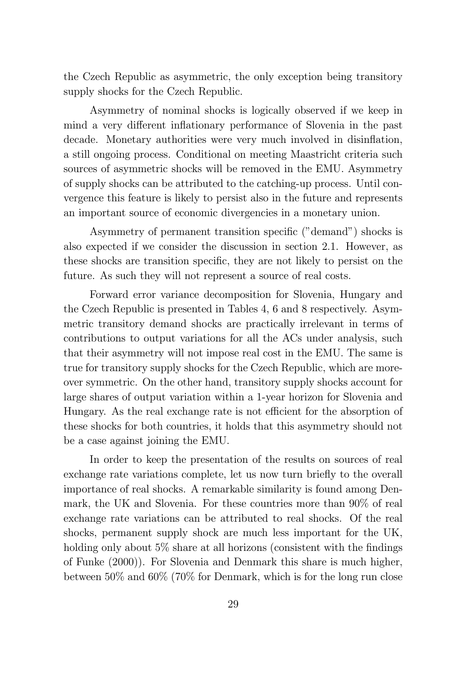the Czech Republic as asymmetric, the only exception being transitory supply shocks for the Czech Republic.

Asymmetry of nominal shocks is logically observed if we keep in mind a very different inflationary performance of Slovenia in the past decade. Monetary authorities were very much involved in disinflation, a still ongoing process. Conditional on meeting Maastricht criteria such sources of asymmetric shocks will be removed in the EMU. Asymmetry of supply shocks can be attributed to the catching-up process. Until convergence this feature is likely to persist also in the future and represents an important source of economic divergencies in a monetary union.

Asymmetry of permanent transition specific ("demand") shocks is also expected if we consider the discussion in section 2.1. However, as these shocks are transition specific, they are not likely to persist on the future. As such they will not represent a source of real costs.

Forward error variance decomposition for Slovenia, Hungary and the Czech Republic is presented in Tables 4, 6 and 8 respectively. Asymmetric transitory demand shocks are practically irrelevant in terms of contributions to output variations for all the ACs under analysis, such that their asymmetry will not impose real cost in the EMU. The same is true for transitory supply shocks for the Czech Republic, which are moreover symmetric. On the other hand, transitory supply shocks account for large shares of output variation within a 1-year horizon for Slovenia and Hungary. As the real exchange rate is not efficient for the absorption of these shocks for both countries, it holds that this asymmetry should not be a case against joining the EMU.

In order to keep the presentation of the results on sources of real exchange rate variations complete, let us now turn briefly to the overall importance of real shocks. A remarkable similarity is found among Denmark, the UK and Slovenia. For these countries more than 90% of real exchange rate variations can be attributed to real shocks. Of the real shocks, permanent supply shock are much less important for the UK, holding only about  $5\%$  share at all horizons (consistent with the findings of Funke (2000)). For Slovenia and Denmark this share is much higher, between 50% and 60% (70% for Denmark, which is for the long run close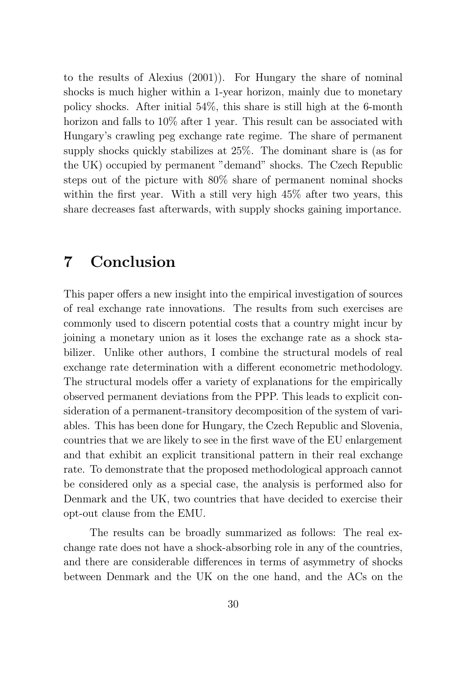to the results of Alexius (2001)). For Hungary the share of nominal shocks is much higher within a 1-year horizon, mainly due to monetary policy shocks. After initial 54%, this share is still high at the 6-month horizon and falls to  $10\%$  after 1 year. This result can be associated with Hungary's crawling peg exchange rate regime. The share of permanent supply shocks quickly stabilizes at 25%. The dominant share is (as for the UK) occupied by permanent "demand" shocks. The Czech Republic steps out of the picture with 80% share of permanent nominal shocks within the first year. With a still very high  $45\%$  after two years, this share decreases fast afterwards, with supply shocks gaining importance.

### 7 Conclusion

This paper offers a new insight into the empirical investigation of sources of real exchange rate innovations. The results from such exercises are commonly used to discern potential costs that a country might incur by joining a monetary union as it loses the exchange rate as a shock stabilizer. Unlike other authors, I combine the structural models of real exchange rate determination with a different econometric methodology. The structural models offer a variety of explanations for the empirically observed permanent deviations from the PPP. This leads to explicit consideration of a permanent-transitory decomposition of the system of variables. This has been done for Hungary, the Czech Republic and Slovenia, countries that we are likely to see in the first wave of the EU enlargement and that exhibit an explicit transitional pattern in their real exchange rate. To demonstrate that the proposed methodological approach cannot be considered only as a special case, the analysis is performed also for Denmark and the UK, two countries that have decided to exercise their opt-out clause from the EMU.

The results can be broadly summarized as follows: The real exchange rate does not have a shock-absorbing role in any of the countries, and there are considerable differences in terms of asymmetry of shocks between Denmark and the UK on the one hand, and the ACs on the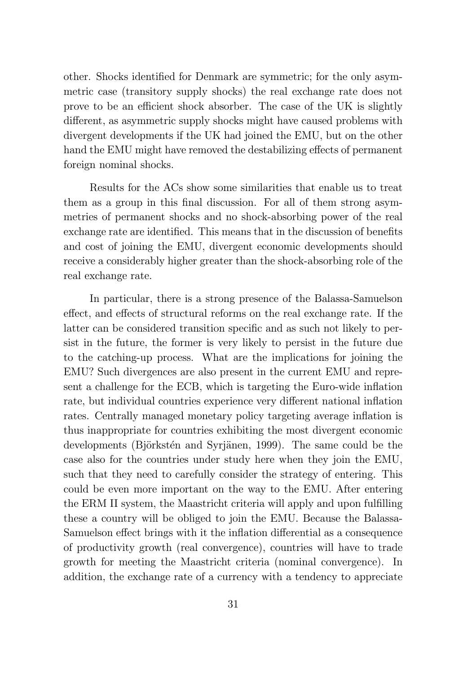other. Shocks identified for Denmark are symmetric; for the only asymmetric case (transitory supply shocks) the real exchange rate does not prove to be an efficient shock absorber. The case of the UK is slightly different, as asymmetric supply shocks might have caused problems with divergent developments if the UK had joined the EMU, but on the other hand the EMU might have removed the destabilizing effects of permanent foreign nominal shocks.

Results for the ACs show some similarities that enable us to treat them as a group in this final discussion. For all of them strong asymmetries of permanent shocks and no shock-absorbing power of the real exchange rate are identified. This means that in the discussion of benefits and cost of joining the EMU, divergent economic developments should receive a considerably higher greater than the shock-absorbing role of the real exchange rate.

In particular, there is a strong presence of the Balassa-Samuelson effect, and effects of structural reforms on the real exchange rate. If the latter can be considered transition specific and as such not likely to persist in the future, the former is very likely to persist in the future due to the catching-up process. What are the implications for joining the EMU? Such divergences are also present in the current EMU and represent a challenge for the ECB, which is targeting the Euro-wide inflation rate, but individual countries experience very different national inflation rates. Centrally managed monetary policy targeting average inflation is thus inappropriate for countries exhibiting the most divergent economic developments (Björkstén and Syrjänen, 1999). The same could be the case also for the countries under study here when they join the EMU, such that they need to carefully consider the strategy of entering. This could be even more important on the way to the EMU. After entering the ERM II system, the Maastricht criteria will apply and upon fulfilling these a country will be obliged to join the EMU. Because the Balassa-Samuelson effect brings with it the inflation differential as a consequence of productivity growth (real convergence), countries will have to trade growth for meeting the Maastricht criteria (nominal convergence). In addition, the exchange rate of a currency with a tendency to appreciate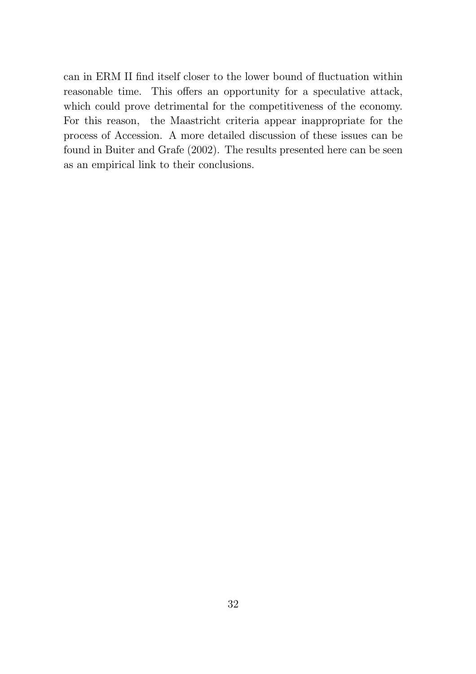can in ERM II find itself closer to the lower bound of fluctuation within reasonable time. This offers an opportunity for a speculative attack, which could prove detrimental for the competitiveness of the economy. For this reason, the Maastricht criteria appear inappropriate for the process of Accession. A more detailed discussion of these issues can be found in Buiter and Grafe (2002). The results presented here can be seen as an empirical link to their conclusions.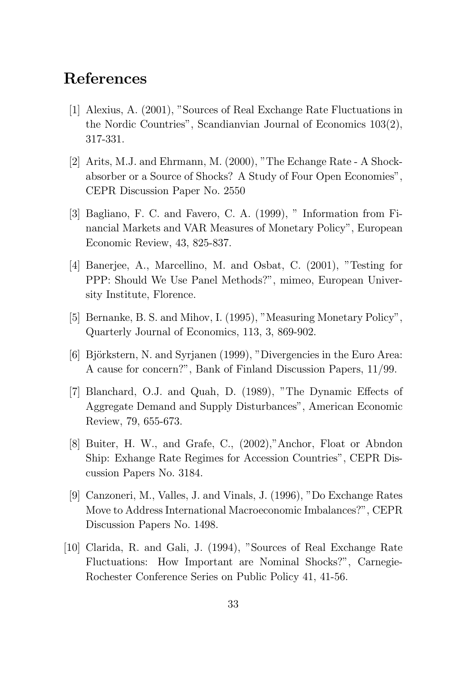#### References

- [1] Alexius, A. (2001), "Sources of Real Exchange Rate Fluctuations in the Nordic Countries", Scandianvian Journal of Economics 103(2), 317-331.
- [2] Arits, M.J. and Ehrmann, M. (2000), "The Echange Rate A Shockabsorber or a Source of Shocks? A Study of Four Open Economies", CEPR Discussion Paper No. 2550
- [3] Bagliano, F. C. and Favero, C. A. (1999), " Information from Financial Markets and VAR Measures of Monetary Policy", European Economic Review, 43, 825-837.
- [4] Banerjee, A., Marcellino, M. and Osbat, C. (2001), "Testing for PPP: Should We Use Panel Methods?", mimeo, European University Institute, Florence.
- [5] Bernanke, B. S. and Mihov, I. (1995), "Measuring Monetary Policy", Quarterly Journal of Economics, 113, 3, 869-902.
- [6] Björkstern, N. and Syrjanen (1999), "Divergencies in the Euro Area: A cause for concern?", Bank of Finland Discussion Papers, 11/99.
- [7] Blanchard, O.J. and Quah, D. (1989), "The Dynamic Effects of Aggregate Demand and Supply Disturbances", American Economic Review, 79, 655-673.
- [8] Buiter, H. W., and Grafe, C., (2002),"Anchor, Float or Abndon Ship: Exhange Rate Regimes for Accession Countries", CEPR Discussion Papers No. 3184.
- [9] Canzoneri, M., Valles, J. and Vinals, J. (1996), "Do Exchange Rates Move to Address International Macroeconomic Imbalances?", CEPR Discussion Papers No. 1498.
- [10] Clarida, R. and Gali, J. (1994), "Sources of Real Exchange Rate Fluctuations: How Important are Nominal Shocks?", Carnegie-Rochester Conference Series on Public Policy 41, 41-56.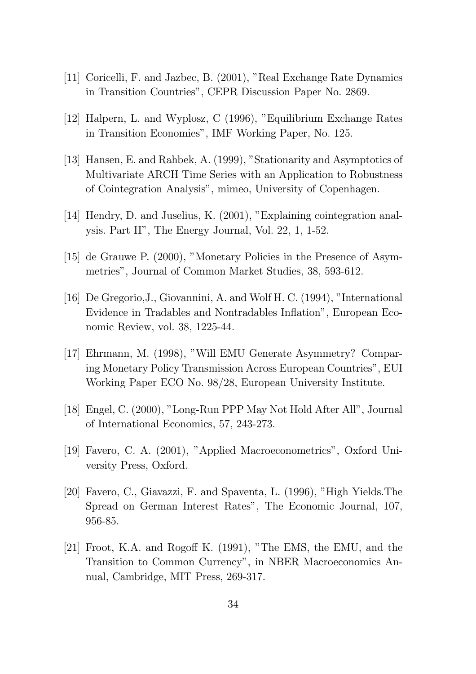- [11] Coricelli, F. and Jazbec, B. (2001), "Real Exchange Rate Dynamics in Transition Countries", CEPR Discussion Paper No. 2869.
- [12] Halpern, L. and Wyplosz, C (1996), "Equilibrium Exchange Rates in Transition Economies", IMF Working Paper, No. 125.
- [13] Hansen, E. and Rahbek, A. (1999), "Stationarity and Asymptotics of Multivariate ARCH Time Series with an Application to Robustness of Cointegration Analysis", mimeo, University of Copenhagen.
- [14] Hendry, D. and Juselius, K. (2001), "Explaining cointegration analysis. Part II", The Energy Journal, Vol. 22, 1, 1-52.
- [15] de Grauwe P. (2000), "Monetary Policies in the Presence of Asymmetries", Journal of Common Market Studies, 38, 593-612.
- [16] De Gregorio,J., Giovannini, A. and Wolf H. C. (1994), "International Evidence in Tradables and Nontradables Inflation", European Economic Review, vol. 38, 1225-44.
- [17] Ehrmann, M. (1998), "Will EMU Generate Asymmetry? Comparing Monetary Policy Transmission Across European Countries", EUI Working Paper ECO No. 98/28, European University Institute.
- [18] Engel, C. (2000), "Long-Run PPP May Not Hold After All", Journal of International Economics, 57, 243-273.
- [19] Favero, C. A. (2001), "Applied Macroeconometrics", Oxford University Press, Oxford.
- [20] Favero, C., Giavazzi, F. and Spaventa, L. (1996), "High Yields.The Spread on German Interest Rates", The Economic Journal, 107, 956-85.
- [21] Froot, K.A. and Rogoff K.  $(1991)$ , "The EMS, the EMU, and the Transition to Common Currency", in NBER Macroeconomics Annual, Cambridge, MIT Press, 269-317.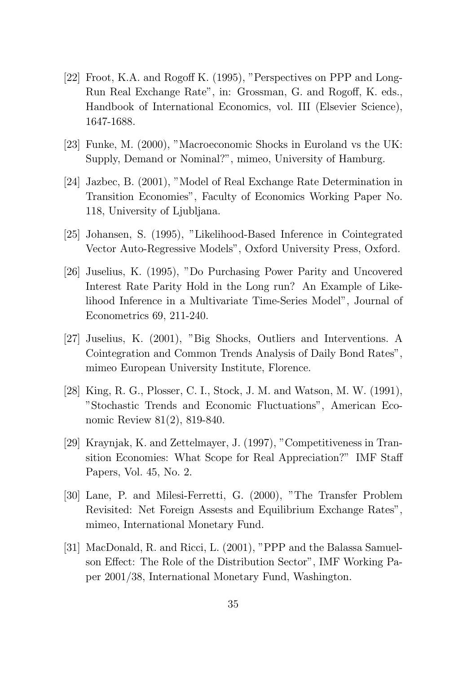- [22] Froot, K.A. and Rogoff K.  $(1995)$ , "Perspectives on PPP and Long-Run Real Exchange Rate", in: Grossman, G. and Rogoff, K. eds., Handbook of International Economics, vol. III (Elsevier Science), 1647-1688.
- [23] Funke, M. (2000), "Macroeconomic Shocks in Euroland vs the UK: Supply, Demand or Nominal?", mimeo, University of Hamburg.
- [24] Jazbec, B. (2001), "Model of Real Exchange Rate Determination in Transition Economies", Faculty of Economics Working Paper No. 118, University of Ljubljana.
- [25] Johansen, S. (1995), "Likelihood-Based Inference in Cointegrated Vector Auto-Regressive Models", Oxford University Press, Oxford.
- [26] Juselius, K. (1995), "Do Purchasing Power Parity and Uncovered Interest Rate Parity Hold in the Long run? An Example of Likelihood Inference in a Multivariate Time-Series Model", Journal of Econometrics 69, 211-240.
- [27] Juselius, K. (2001), "Big Shocks, Outliers and Interventions. A Cointegration and Common Trends Analysis of Daily Bond Rates", mimeo European University Institute, Florence.
- [28] King, R. G., Plosser, C. I., Stock, J. M. and Watson, M. W. (1991), "Stochastic Trends and Economic Fluctuations", American Economic Review 81(2), 819-840.
- [29] Kraynjak, K. and Zettelmayer, J. (1997), "Competitiveness in Transition Economies: What Scope for Real Appreciation?" IMF Staff Papers, Vol. 45, No. 2.
- [30] Lane, P. and Milesi-Ferretti, G. (2000), "The Transfer Problem Revisited: Net Foreign Assests and Equilibrium Exchange Rates", mimeo, International Monetary Fund.
- [31] MacDonald, R. and Ricci, L. (2001), "PPP and the Balassa Samuelson Effect: The Role of the Distribution Sector", IMF Working Paper 2001/38, International Monetary Fund, Washington.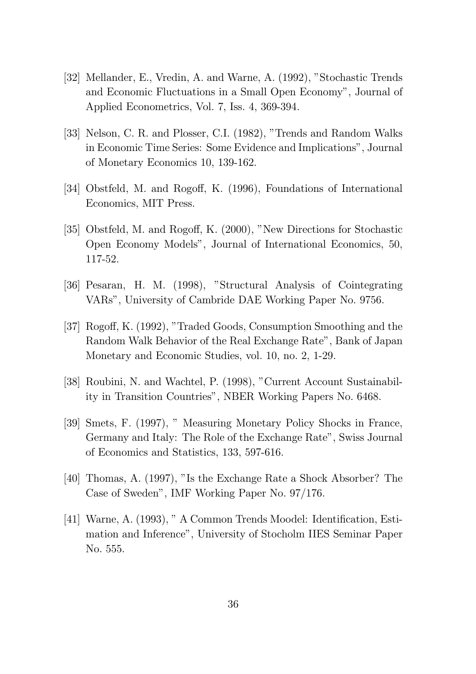- [32] Mellander, E., Vredin, A. and Warne, A. (1992), "Stochastic Trends and Economic Fluctuations in a Small Open Economy", Journal of Applied Econometrics, Vol. 7, Iss. 4, 369-394.
- [33] Nelson, C. R. and Plosser, C.I. (1982), "Trends and Random Walks in Economic Time Series: Some Evidence and Implications", Journal of Monetary Economics 10, 139-162.
- [34] Obstfeld, M. and Rogoff, K. (1996), Foundations of International Economics, MIT Press.
- [35] Obstfeld, M. and Rogoff, K. (2000), "New Directions for Stochastic Open Economy Models", Journal of International Economics, 50, 117-52.
- [36] Pesaran, H. M. (1998), "Structural Analysis of Cointegrating VARs", University of Cambride DAE Working Paper No. 9756.
- [37] Rogoff, K. (1992), "Traded Goods, Consumption Smoothing and the Random Walk Behavior of the Real Exchange Rate", Bank of Japan Monetary and Economic Studies, vol. 10, no. 2, 1-29.
- [38] Roubini, N. and Wachtel, P. (1998), "Current Account Sustainability in Transition Countries", NBER Working Papers No. 6468.
- [39] Smets, F. (1997), " Measuring Monetary Policy Shocks in France, Germany and Italy: The Role of the Exchange Rate", Swiss Journal of Economics and Statistics, 133, 597-616.
- [40] Thomas, A. (1997), "Is the Exchange Rate a Shock Absorber? The Case of Sweden", IMF Working Paper No. 97/176.
- [41] Warne, A.  $(1993)$ , "A Common Trends Moodel: Identification, Estimation and Inference", University of Stocholm IIES Seminar Paper No. 555.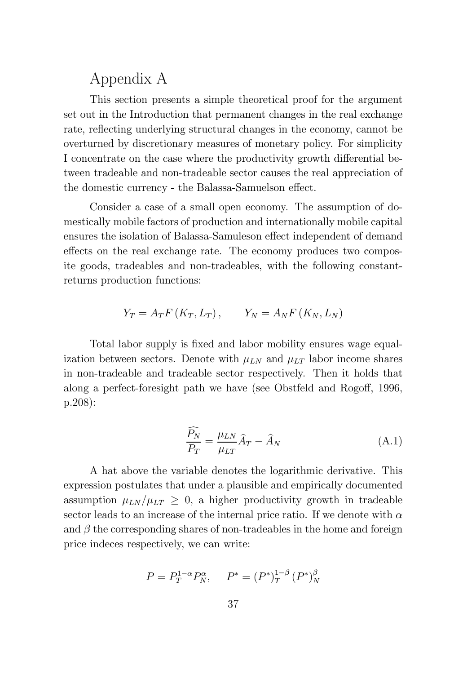### Appendix A

This section presents a simple theoretical proof for the argument set out in the Introduction that permanent changes in the real exchange rate, reflecting underlying structural changes in the economy, cannot be overturned by discretionary measures of monetary policy. For simplicity I concentrate on the case where the productivity growth differential between tradeable and non-tradeable sector causes the real appreciation of the domestic currency - the Balassa-Samuelson effect.

Consider a case of a small open economy. The assumption of domestically mobile factors of production and internationally mobile capital ensures the isolation of Balassa-Samuleson effect independent of demand effects on the real exchange rate. The economy produces two composite goods, tradeables and non-tradeables, with the following constantreturns production functions:

$$
Y_T = A_T F(K_T, L_T), \qquad Y_N = A_N F(K_N, L_N)
$$

Total labor supply is fixed and labor mobility ensures wage equalization between sectors. Denote with  $\mu_{LN}$  and  $\mu_{LT}$  labor income shares in non-tradeable and tradeable sector respectively. Then it holds that along a perfect-foresight path we have (see Obstfeld and Rogoff, 1996, p.208):

$$
\frac{\widehat{P_N}}{P_T} = \frac{\mu_{LN}}{\mu_{LT}} \widehat{A}_T - \widehat{A}_N \tag{A.1}
$$

A hat above the variable denotes the logarithmic derivative. This expression postulates that under a plausible and empirically documented assumption  $\mu_{LN}/\mu_{LT} \geq 0$ , a higher productivity growth in tradeable sector leads to an increase of the internal price ratio. If we denote with  $\alpha$ and  $\beta$  the corresponding shares of non-tradeables in the home and foreign price indeces respectively, we can write:

$$
P = P_T^{1-\alpha} P_N^{\alpha}, \quad P^* = (P^*)_T^{1-\beta} (P^*)_N^{\beta}
$$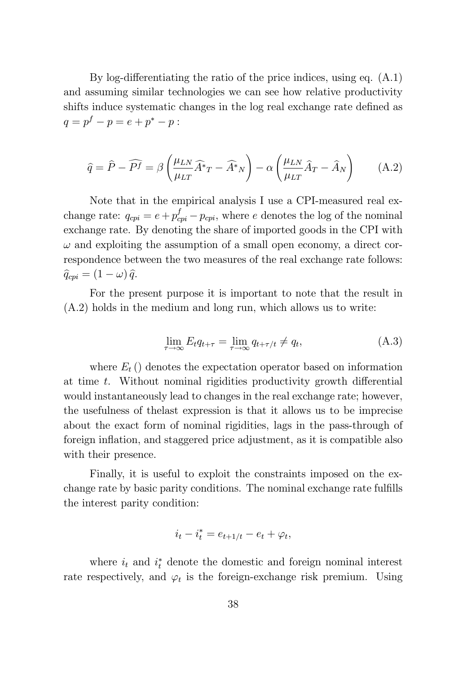By log-differentiating the ratio of the price indices, using eq.  $(A.1)$ and assuming similar technologies we can see how relative productivity shifts induce systematic changes in the log real exchange rate defined as  $q = p^f - p = e + p^* - p$ :

$$
\hat{q} = \hat{P} - \widehat{P}f = \beta \left(\frac{\mu_{LN}}{\mu_{LT}} \widehat{A}^* T - \widehat{A}^* N\right) - \alpha \left(\frac{\mu_{LN}}{\mu_{LT}} \widehat{A}_T - \widehat{A}_N\right) \tag{A.2}
$$

Note that in the empirical analysis I use a CPI-measured real exchange rate:  $q_{cpi} = e + p_{cpi}^f - p_{cpi}$ , where e denotes the log of the nominal exchange rate. By denoting the share of imported goods in the CPI with  $\omega$  and exploiting the assumption of a small open economy, a direct correspondence between the two measures of the real exchange rate follows:  $\hat{q}_{cpi} = (1 - \omega) \hat{q}.$ 

For the present purpose it is important to note that the result in (A.2) holds in the medium and long run, which allows us to write:

$$
\lim_{\tau \to \infty} E_t q_{t+\tau} = \lim_{\tau \to \infty} q_{t+\tau/t} \neq q_t, \tag{A.3}
$$

where  $E_t$  () denotes the expectation operator based on information at time  $t$ . Without nominal rigidities productivity growth differential would instantaneously lead to changes in the real exchange rate; however, the usefulness of thelast expression is that it allows us to be imprecise about the exact form of nominal rigidities, lags in the pass-through of foreign inflation, and staggered price adjustment, as it is compatible also with their presence.

Finally, it is useful to exploit the constraints imposed on the exchange rate by basic parity conditions. The nominal exchange rate fulfills the interest parity condition:

$$
i_t - i_t^* = e_{t+1/t} - e_t + \varphi_t,
$$

where  $i_t$  and  $i_t^*$  denote the domestic and foreign nominal interest rate respectively, and  $\varphi_t$  is the foreign-exchange risk premium. Using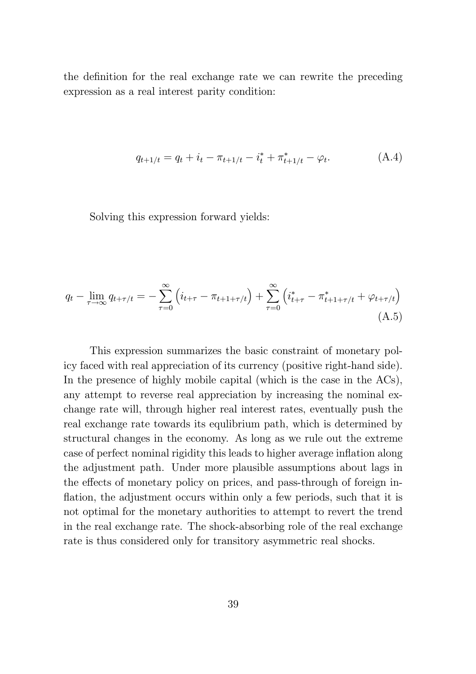the definition for the real exchange rate we can rewrite the preceding expression as a real interest parity condition:

$$
q_{t+1/t} = q_t + i_t - \pi_{t+1/t} - i_t^* + \pi_{t+1/t}^* - \varphi_t.
$$
 (A.4)

Solving this expression forward yields:

$$
q_t - \lim_{\tau \to \infty} q_{t+\tau/t} = -\sum_{\tau=0}^{\infty} \left( i_{t+\tau} - \pi_{t+1+\tau/t} \right) + \sum_{\tau=0}^{\infty} \left( i_{t+\tau}^* - \pi_{t+1+\tau/t}^* + \varphi_{t+\tau/t} \right)
$$
\n(A.5)

This expression summarizes the basic constraint of monetary policy faced with real appreciation of its currency (positive right-hand side). In the presence of highly mobile capital (which is the case in the ACs), any attempt to reverse real appreciation by increasing the nominal exchange rate will, through higher real interest rates, eventually push the real exchange rate towards its equlibrium path, which is determined by structural changes in the economy. As long as we rule out the extreme case of perfect nominal rigidity this leads to higher average inflation along the adjustment path. Under more plausible assumptions about lags in the effects of monetary policy on prices, and pass-through of foreign inflation, the adjustment occurs within only a few periods, such that it is not optimal for the monetary authorities to attempt to revert the trend in the real exchange rate. The shock-absorbing role of the real exchange rate is thus considered only for transitory asymmetric real shocks.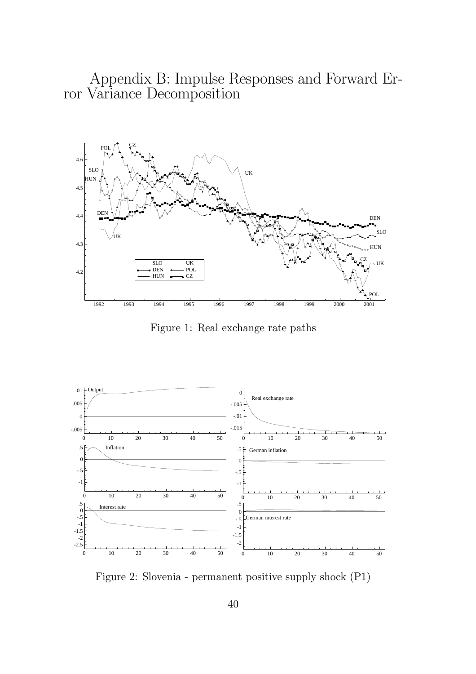Appendix B: Impulse Responses and Forward Error Variance Decomposition



Figure 1: Real exchange rate paths



Figure 2: Slovenia - permanent positive supply shock (P1)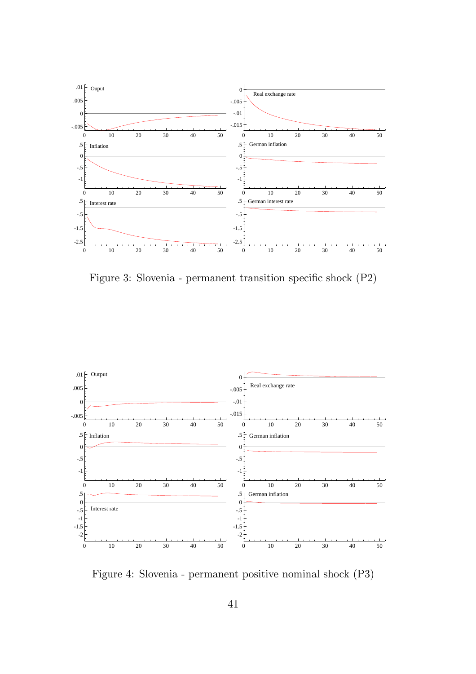

Figure 3: Slovenia - permanent transition specific shock  $(P2)$ 



Figure 4: Slovenia - permanent positive nominal shock (P3)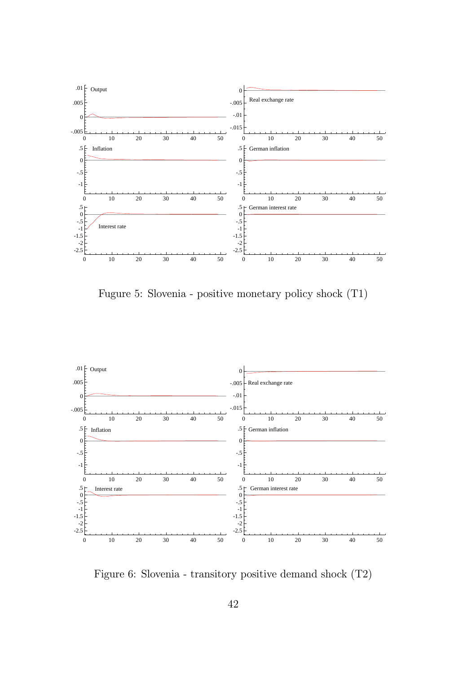

Fugure 5: Slovenia - positive monetary policy shock (T1)



Figure 6: Slovenia - transitory positive demand shock (T2)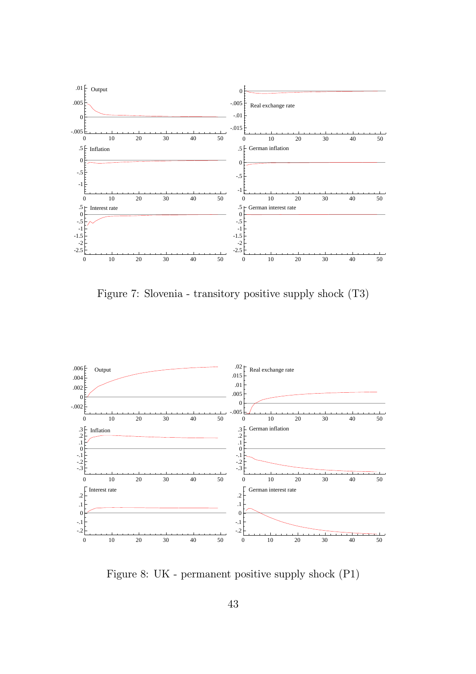

Figure 7: Slovenia - transitory positive supply shock (T3)



Figure 8: UK - permanent positive supply shock (P1)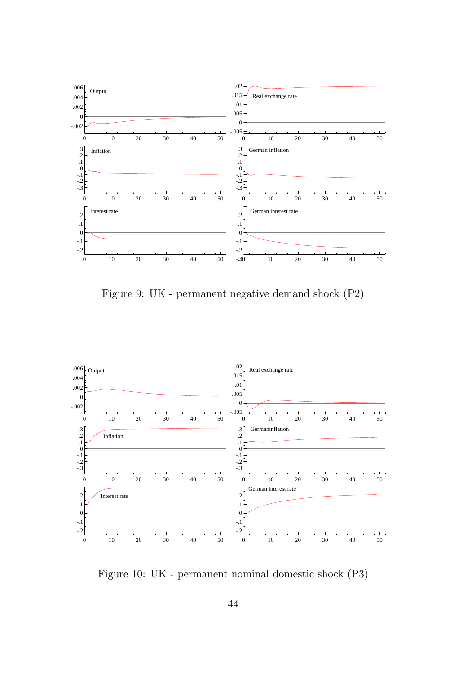

Figure 9: UK - permanent negative demand shock (P2)



Figure 10: UK - permanent nominal domestic shock (P3)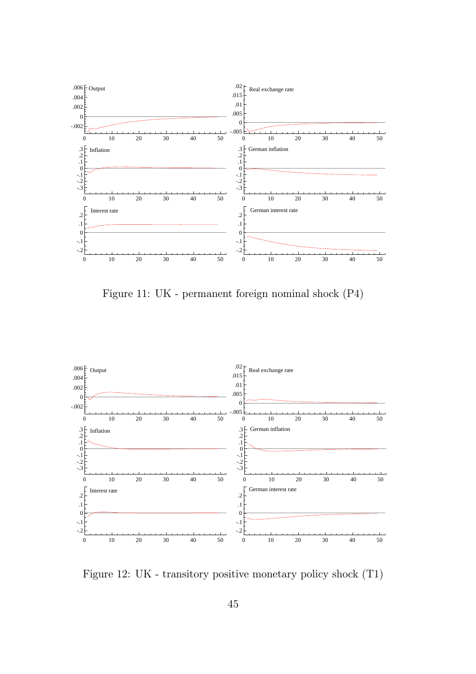

Figure 11: UK - permanent foreign nominal shock (P4)



Figure 12: UK - transitory positive monetary policy shock (T1)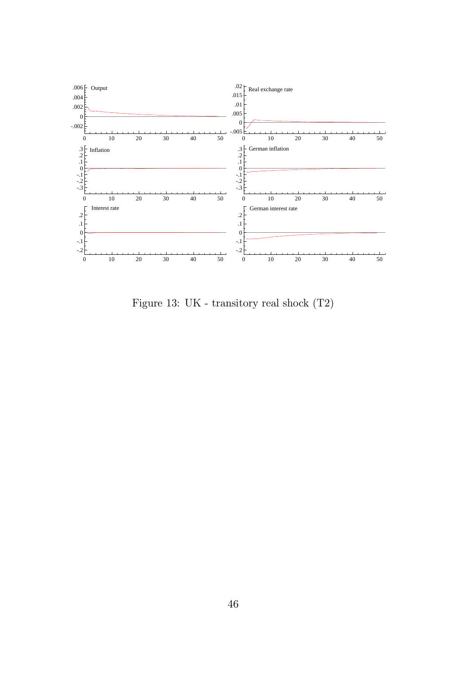

Figure 13: UK - transitory real shock (T2)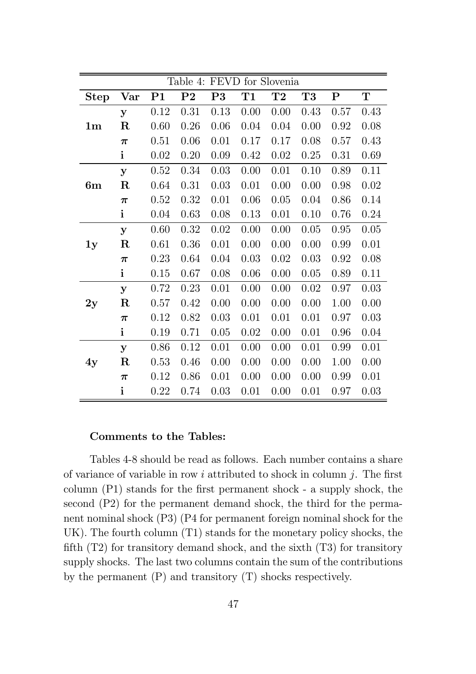| Table 4: FEVD for Slovenia |              |                |                |      |      |           |                |             |             |  |
|----------------------------|--------------|----------------|----------------|------|------|-----------|----------------|-------------|-------------|--|
| <b>Step</b>                | Var          | P <sub>1</sub> | P <sub>2</sub> | P3   | T1   | $\bf{T}2$ | T <sub>3</sub> | $\mathbf P$ | $\mathbf T$ |  |
|                            | y            | 0.12           | 0.31           | 0.13 | 0.00 | 0.00      | 0.43           | 0.57        | 0.43        |  |
| 1 <sub>m</sub>             | $\mathbf R$  | 0.60           | 0.26           | 0.06 | 0.04 | 0.04      | 0.00           | 0.92        | 0.08        |  |
|                            | $\pi$        | 0.51           | 0.06           | 0.01 | 0.17 | 0.17      | 0.08           | 0.57        | 0.43        |  |
|                            | $\mathbf{i}$ | 0.02           | 0.20           | 0.09 | 0.42 | 0.02      | 0.25           | 0.31        | 0.69        |  |
|                            | y            | 0.52           | 0.34           | 0.03 | 0.00 | 0.01      | 0.10           | 0.89        | 0.11        |  |
| 6m                         | $\mathbf R$  | 0.64           | 0.31           | 0.03 | 0.01 | 0.00      | 0.00           | 0.98        | 0.02        |  |
|                            | $\pi$        | 0.52           | 0.32           | 0.01 | 0.06 | 0.05      | 0.04           | 0.86        | 0.14        |  |
|                            | $\mathbf{i}$ | 0.04           | 0.63           | 0.08 | 0.13 | 0.01      | 0.10           | 0.76        | 0.24        |  |
|                            | y            | 0.60           | 0.32           | 0.02 | 0.00 | 0.00      | 0.05           | 0.95        | 0.05        |  |
| 1y                         | $\mathbf R$  | 0.61           | 0.36           | 0.01 | 0.00 | 0.00      | 0.00           | 0.99        | 0.01        |  |
|                            | $\pi$        | 0.23           | 0.64           | 0.04 | 0.03 | 0.02      | 0.03           | 0.92        | 0.08        |  |
|                            | $\mathbf{i}$ | 0.15           | 0.67           | 0.08 | 0.06 | 0.00      | 0.05           | 0.89        | 0.11        |  |
|                            | y            | 0.72           | 0.23           | 0.01 | 0.00 | 0.00      | 0.02           | 0.97        | 0.03        |  |
| 2y                         | $\mathbf R$  | 0.57           | 0.42           | 0.00 | 0.00 | 0.00      | 0.00           | 1.00        | 0.00        |  |
|                            | $\pi$        | 0.12           | 0.82           | 0.03 | 0.01 | 0.01      | 0.01           | 0.97        | 0.03        |  |
|                            | $\mathbf{i}$ | 0.19           | 0.71           | 0.05 | 0.02 | 0.00      | 0.01           | 0.96        | 0.04        |  |
|                            | y            | 0.86           | 0.12           | 0.01 | 0.00 | 0.00      | 0.01           | 0.99        | 0.01        |  |
| 4y                         | $\mathbf R$  | 0.53           | 0.46           | 0.00 | 0.00 | 0.00      | 0.00           | 1.00        | 0.00        |  |
|                            | $\pi$        | 0.12           | 0.86           | 0.01 | 0.00 | 0.00      | 0.00           | 0.99        | 0.01        |  |
|                            | $\mathbf{i}$ | 0.22           | 0.74           | 0.03 | 0.01 | 0.00      | 0.01           | 0.97        | 0.03        |  |

#### Comments to the Tables:

Tables 4-8 should be read as follows. Each number contains a share of variance of variable in row i attributed to shock in column j. The first column  $(P1)$  stands for the first permanent shock - a supply shock, the second (P2) for the permanent demand shock, the third for the permanent nominal shock (P3) (P4 for permanent foreign nominal shock for the UK). The fourth column (T1) stands for the monetary policy shocks, the  $f(x)$  for transitory demand shock, and the sixth  $(T3)$  for transitory supply shocks. The last two columns contain the sum of the contributions by the permanent (P) and transitory (T) shocks respectively.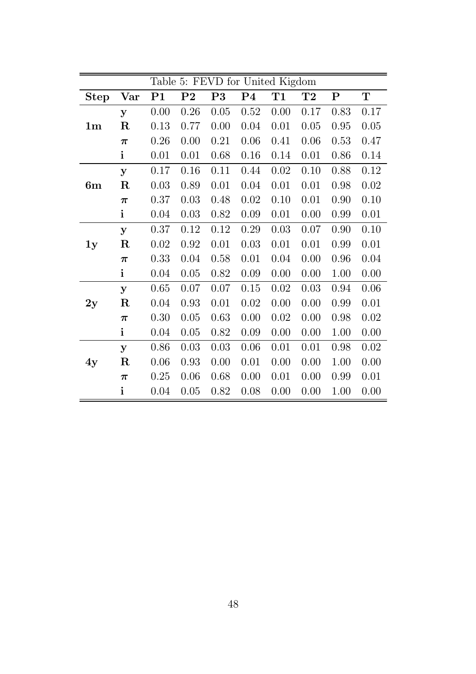|                |                    |                | Table 5: FEVD for United Kigdom |      |                |      |           |           |           |  |  |
|----------------|--------------------|----------------|---------------------------------|------|----------------|------|-----------|-----------|-----------|--|--|
| <b>Step</b>    | Var                | P <sub>1</sub> | P <sub>2</sub>                  | P3   | P <sub>4</sub> | T1   | $\bf{T}2$ | ${\bf P}$ | ${\bf T}$ |  |  |
|                | У                  | 0.00           | 0.26                            | 0.05 | 0.52           | 0.00 | 0.17      | 0.83      | 0.17      |  |  |
| 1 <sub>m</sub> | $\mathbf R$        | 0.13           | 0.77                            | 0.00 | 0.04           | 0.01 | 0.05      | 0.95      | 0.05      |  |  |
|                | $\pi$              | 0.26           | 0.00                            | 0.21 | 0.06           | 0.41 | 0.06      | 0.53      | 0.47      |  |  |
|                | $\mathbf{i}$       | 0.01           | 0.01                            | 0.68 | 0.16           | 0.14 | 0.01      | 0.86      | 0.14      |  |  |
|                | $\mathbf{y}$       | 0.17           | 0.16                            | 0.11 | 0.44           | 0.02 | 0.10      | 0.88      | 0.12      |  |  |
| 6m             | $\mathbf R$        | 0.03           | 0.89                            | 0.01 | 0.04           | 0.01 | 0.01      | 0.98      | 0.02      |  |  |
|                | $\boldsymbol{\pi}$ | 0.37           | 0.03                            | 0.48 | 0.02           | 0.10 | 0.01      | 0.90      | 0.10      |  |  |
|                | $\mathbf{i}$       | 0.04           | 0.03                            | 0.82 | 0.09           | 0.01 | 0.00      | 0.99      | 0.01      |  |  |
|                | У                  | 0.37           | 0.12                            | 0.12 | 0.29           | 0.03 | 0.07      | 0.90      | 0.10      |  |  |
| 1y             | $\mathbf R$        | 0.02           | 0.92                            | 0.01 | 0.03           | 0.01 | 0.01      | 0.99      | 0.01      |  |  |
|                | $\pi$              | 0.33           | 0.04                            | 0.58 | 0.01           | 0.04 | 0.00      | 0.96      | 0.04      |  |  |
|                | $\mathbf{i}$       | 0.04           | 0.05                            | 0.82 | 0.09           | 0.00 | 0.00      | 1.00      | 0.00      |  |  |
|                | $\mathbf{y}$       | 0.65           | 0.07                            | 0.07 | 0.15           | 0.02 | 0.03      | 0.94      | 0.06      |  |  |
| 2y             | $\mathbf R$        | 0.04           | 0.93                            | 0.01 | 0.02           | 0.00 | 0.00      | 0.99      | 0.01      |  |  |
|                | $\pi$              | 0.30           | 0.05                            | 0.63 | 0.00           | 0.02 | 0.00      | 0.98      | 0.02      |  |  |
|                | $\mathbf{i}$       | 0.04           | 0.05                            | 0.82 | 0.09           | 0.00 | 0.00      | 1.00      | 0.00      |  |  |
|                | y                  | 0.86           | 0.03                            | 0.03 | 0.06           | 0.01 | 0.01      | 0.98      | 0.02      |  |  |
| 4y             | $\mathbf R$        | 0.06           | 0.93                            | 0.00 | 0.01           | 0.00 | 0.00      | 1.00      | 0.00      |  |  |
|                | $\pi$              | 0.25           | 0.06                            | 0.68 | 0.00           | 0.01 | 0.00      | 0.99      | 0.01      |  |  |
|                | $\mathbf{i}$       | 0.04           | 0.05                            | 0.82 | 0.08           | 0.00 | 0.00      | 1.00      | 0.00      |  |  |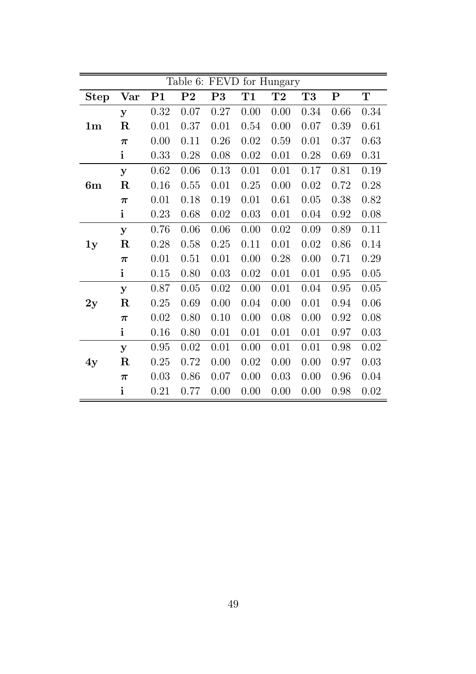|                |                      |                | Table 6:       | <b>FEVD</b> |          | for Hungary |      |           |             |
|----------------|----------------------|----------------|----------------|-------------|----------|-------------|------|-----------|-------------|
| <b>Step</b>    | $\operatorname{Var}$ | P <sub>1</sub> | P <sub>2</sub> | P3          | T1       | $\bf{T}2$   | T3   | ${\bf P}$ | $\mathbf T$ |
|                | y                    | 0.32           | 0.07           | 0.27        | 0.00     | 0.00        | 0.34 | 0.66      | 0.34        |
| 1 <sub>m</sub> | $\rm R$              | 0.01           | 0.37           | 0.01        | 0.54     | 0.00        | 0.07 | 0.39      | 0.61        |
|                | $\pi$                | 0.00           | 0.11           | 0.26        | $0.02\,$ | 0.59        | 0.01 | 0.37      | 0.63        |
|                | i                    | 0.33           | 0.28           | 0.08        | $0.02\,$ | 0.01        | 0.28 | 0.69      | 0.31        |
|                | y                    | 0.62           | 0.06           | 0.13        | 0.01     | 0.01        | 0.17 | 0.81      | 0.19        |
| 6m             | $\mathbf R$          | 0.16           | 0.55           | 0.01        | 0.25     | 0.00        | 0.02 | 0.72      | 0.28        |
|                | $\pi$                | 0.01           | 0.18           | 0.19        | 0.01     | 0.61        | 0.05 | 0.38      | 0.82        |
|                | $\mathbf{i}$         | 0.23           | 0.68           | 0.02        | 0.03     | 0.01        | 0.04 | 0.92      | 0.08        |
|                | y                    | 0.76           | 0.06           | 0.06        | 0.00     | 0.02        | 0.09 | 0.89      | 0.11        |
| 1y             | $\mathbf R$          | 0.28           | 0.58           | 0.25        | 0.11     | 0.01        | 0.02 | 0.86      | 0.14        |
|                | $\pi$                | 0.01           | 0.51           | 0.01        | 0.00     | 0.28        | 0.00 | 0.71      | 0.29        |
|                | $\mathbf{i}$         | 0.15           | 0.80           | 0.03        | 0.02     | 0.01        | 0.01 | 0.95      | 0.05        |
|                | $\mathbf{y}$         | 0.87           | 0.05           | 0.02        | 0.00     | 0.01        | 0.04 | 0.95      | 0.05        |
| 2y             | $\rm R$              | 0.25           | 0.69           | 0.00        | 0.04     | 0.00        | 0.01 | 0.94      | 0.06        |
|                | $\pi$                | 0.02           | 0.80           | 0.10        | 0.00     | 0.08        | 0.00 | 0.92      | 0.08        |
|                | $\mathbf{i}$         | 0.16           | 0.80           | 0.01        | 0.01     | 0.01        | 0.01 | 0.97      | 0.03        |
|                | y                    | 0.95           | 0.02           | 0.01        | 0.00     | 0.01        | 0.01 | 0.98      | 0.02        |
| 4y             | $\mathbf R$          | 0.25           | 0.72           | 0.00        | 0.02     | 0.00        | 0.00 | 0.97      | 0.03        |
|                | $\pi$                | 0.03           | 0.86           | 0.07        | 0.00     | 0.03        | 0.00 | 0.96      | 0.04        |
|                | $\mathbf{i}$         | 0.21           | 0.77           | 0.00        | 0.00     | 0.00        | 0.00 | 0.98      | 0.02        |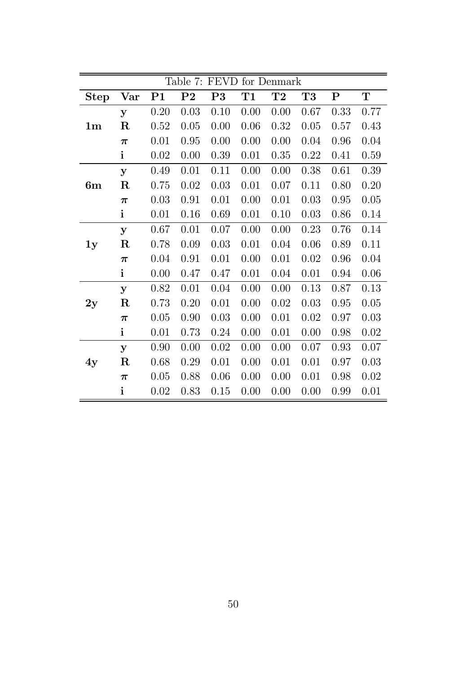|                |                      |                |                | Table 7: FEVD |      | for Denmark |      |           |             |
|----------------|----------------------|----------------|----------------|---------------|------|-------------|------|-----------|-------------|
| <b>Step</b>    | $\operatorname{Var}$ | P <sub>1</sub> | P <sub>2</sub> | P3            | T1   | T2          | T3   | ${\bf P}$ | $\mathbf T$ |
|                | y                    | 0.20           | 0.03           | 0.10          | 0.00 | 0.00        | 0.67 | 0.33      | 0.77        |
| 1 <sub>m</sub> | $\mathbf R$          | 0.52           | 0.05           | 0.00          | 0.06 | 0.32        | 0.05 | 0.57      | 0.43        |
|                | $\pi$                | 0.01           | 0.95           | 0.00          | 0.00 | 0.00        | 0.04 | 0.96      | 0.04        |
|                | $\mathbf{i}$         | 0.02           | 0.00           | 0.39          | 0.01 | 0.35        | 0.22 | 0.41      | 0.59        |
|                | y                    | 0.49           | 0.01           | 0.11          | 0.00 | 0.00        | 0.38 | 0.61      | 0.39        |
| 6m             | $\mathbf R$          | 0.75           | 0.02           | 0.03          | 0.01 | 0.07        | 0.11 | 0.80      | 0.20        |
|                | $\pi$                | 0.03           | 0.91           | 0.01          | 0.00 | 0.01        | 0.03 | 0.95      | 0.05        |
|                | $\mathbf{i}$         | 0.01           | 0.16           | 0.69          | 0.01 | 0.10        | 0.03 | 0.86      | 0.14        |
|                | y                    | 0.67           | 0.01           | 0.07          | 0.00 | 0.00        | 0.23 | 0.76      | 0.14        |
| 1y             | $\mathbf R$          | 0.78           | 0.09           | 0.03          | 0.01 | 0.04        | 0.06 | 0.89      | 0.11        |
|                | $\pi$                | 0.04           | 0.91           | 0.01          | 0.00 | 0.01        | 0.02 | 0.96      | 0.04        |
|                | $\mathbf{i}$         | 0.00           | 0.47           | 0.47          | 0.01 | 0.04        | 0.01 | 0.94      | 0.06        |
|                | У                    | 0.82           | 0.01           | 0.04          | 0.00 | 0.00        | 0.13 | 0.87      | 0.13        |
| 2y             | $\mathbf R$          | 0.73           | 0.20           | 0.01          | 0.00 | 0.02        | 0.03 | 0.95      | 0.05        |
|                | $\pi$                | 0.05           | 0.90           | 0.03          | 0.00 | 0.01        | 0.02 | 0.97      | 0.03        |
|                | $\mathbf{i}$         | 0.01           | 0.73           | 0.24          | 0.00 | 0.01        | 0.00 | 0.98      | 0.02        |
|                | y                    | 0.90           | 0.00           | 0.02          | 0.00 | 0.00        | 0.07 | 0.93      | 0.07        |
| 4y             | $\rm R$              | 0.68           | 0.29           | 0.01          | 0.00 | 0.01        | 0.01 | 0.97      | 0.03        |
|                | $\boldsymbol{\pi}$   | 0.05           | 0.88           | 0.06          | 0.00 | 0.00        | 0.01 | 0.98      | 0.02        |
|                | $\mathbf{i}$         | 0.02           | 0.83           | 0.15          | 0.00 | 0.00        | 0.00 | 0.99      | 0.01        |